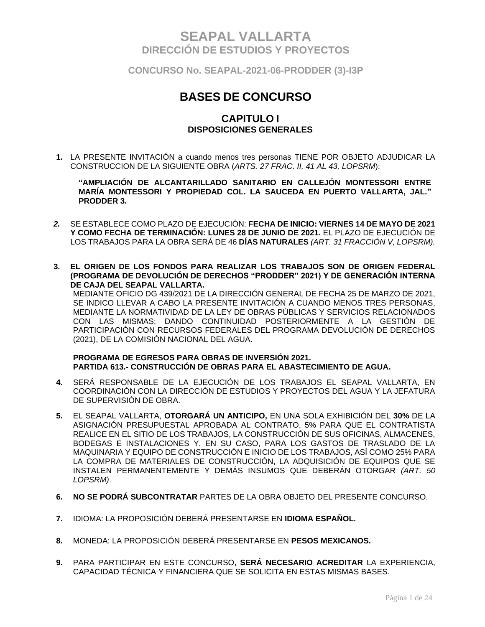**CONCURSO No. SEAPAL-2021-06-PRODDER (3)-I3P**

# **BASES DE CONCURSO**

### **CAPITULO I DISPOSICIONES GENERALES**

**1.** LA PRESENTE INVITACIÓN a cuando menos tres personas TIENE POR OBJETO ADJUDICAR LA CONSTRUCCION DE LA SIGUIENTE OBRA (*ARTS. 27 FRAC. II, 41 AL 43, LOPSRM*):

**"AMPLIACIÓN DE ALCANTARILLADO SANITARIO EN CALLEJÓN MONTESSORI ENTRE MARÍA MONTESSORI Y PROPIEDAD COL. LA SAUCEDA EN PUERTO VALLARTA, JAL." PRODDER 3.**

- *2.* SE ESTABLECE COMO PLAZO DE EJECUCIÓN: **FECHA DE INICIO: VIERNES 14 DE MAYO DE 2021 Y COMO FECHA DE TERMINACIÓN: LUNES 28 DE JUNIO DE 2021.** EL PLAZO DE EJECUCIÓN DE LOS TRABAJOS PARA LA OBRA SERÁ DE 46 **DÍAS NATURALES** *(ART. 31 FRACCIÓN V, LOPSRM).*
- **3. EL ORIGEN DE LOS FONDOS PARA REALIZAR LOS TRABAJOS SON DE ORIGEN FEDERAL (PROGRAMA DE DEVOLUCIÓN DE DERECHOS "PRODDER" 2021) Y DE GENERACIÓN INTERNA DE CAJA DEL SEAPAL VALLARTA.**

MEDIANTE OFICIO DG 439/2021 DE LA DIRECCIÓN GENERAL DE FECHA 25 DE MARZO DE 2021, SE INDICO LLEVAR A CABO LA PRESENTE INVITACIÓN A CUANDO MENOS TRES PERSONAS, MEDIANTE LA NORMATIVIDAD DE LA LEY DE OBRAS PÚBLICAS Y SERVICIOS RELACIONADOS CON LAS MISMAS; DANDO CONTINUIDAD POSTERIORMENTE A LA GESTIÓN DE PARTICIPACIÓN CON RECURSOS FEDERALES DEL PROGRAMA DEVOLUCIÓN DE DERECHOS (2021), DE LA COMISIÓN NACIONAL DEL AGUA.

#### **PROGRAMA DE EGRESOS PARA OBRAS DE INVERSIÓN 2021. PARTIDA 613.- CONSTRUCCIÓN DE OBRAS PARA EL ABASTECIMIENTO DE AGUA.**

- **4.** SERÁ RESPONSABLE DE LA EJECUCIÓN DE LOS TRABAJOS EL SEAPAL VALLARTA, EN COORDINACIÓN CON LA DIRECCIÓN DE ESTUDIOS Y PROYECTOS DEL AGUA Y LA JEFATURA DE SUPERVISIÓN DE OBRA.
- **5.** EL SEAPAL VALLARTA, **OTORGARÁ UN ANTICIPO,** EN UNA SOLA EXHIBICIÓN DEL **30%** DE LA ASIGNACIÓN PRESUPUESTAL APROBADA AL CONTRATO, 5% PARA QUE EL CONTRATISTA REALICE EN EL SITIO DE LOS TRABAJOS, LA CONSTRUCCIÓN DE SUS OFICINAS, ALMACENES, BODEGAS E INSTALACIONES Y, EN SU CASO, PARA LOS GASTOS DE TRASLADO DE LA MAQUINARIA Y EQUIPO DE CONSTRUCCIÓN E INICIO DE LOS TRABAJOS, ASÍ COMO 25% PARA LA COMPRA DE MATERIALES DE CONSTRUCCIÓN, LA ADQUISICIÓN DE EQUIPOS QUE SE INSTALEN PERMANENTEMENTE Y DEMÁS INSUMOS QUE DEBERÁN OTORGAR *(ART. 50 LOPSRM)*.
- **6. NO SE PODRÁ SUBCONTRATAR** PARTES DE LA OBRA OBJETO DEL PRESENTE CONCURSO.
- **7.** IDIOMA: LA PROPOSICIÓN DEBERÁ PRESENTARSE EN **IDIOMA ESPAÑOL.**
- **8.** MONEDA: LA PROPOSICIÓN DEBERÁ PRESENTARSE EN **PESOS MEXICANOS.**
- **9.** PARA PARTICIPAR EN ESTE CONCURSO, **SERÁ NECESARIO ACREDITAR** LA EXPERIENCIA, CAPACIDAD TÉCNICA Y FINANCIERA QUE SE SOLICITA EN ESTAS MISMAS BASES.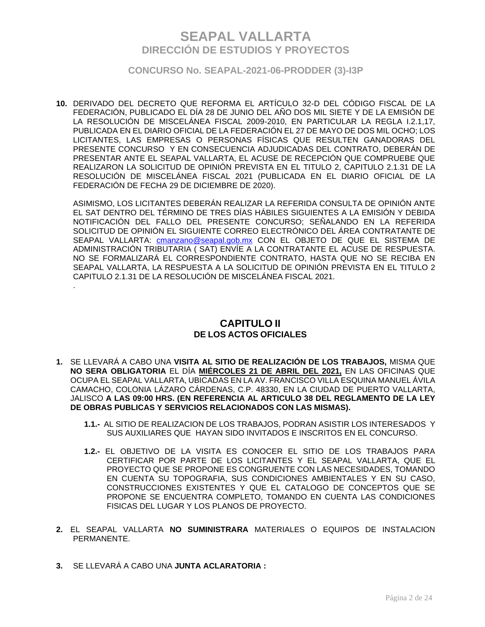**CONCURSO No. SEAPAL-2021-06-PRODDER (3)-I3P**

**10.** DERIVADO DEL DECRETO QUE REFORMA EL ARTÍCULO 32-D DEL CÓDIGO FISCAL DE LA FEDERACIÓN, PUBLICADO EL DÍA 28 DE JUNIO DEL AÑO DOS MIL SIETE Y DE LA EMISIÓN DE LA RESOLUCIÓN DE MISCELÁNEA FISCAL 2009-2010, EN PARTICULAR LA REGLA I.2.1,17, PUBLICADA EN EL DIARIO OFICIAL DE LA FEDERACIÓN EL 27 DE MAYO DE DOS MIL OCHO; LOS LICITANTES, LAS EMPRESAS O PERSONAS FÍSICAS QUE RESULTEN GANADORAS DEL PRESENTE CONCURSO Y EN CONSECUENCIA ADJUDICADAS DEL CONTRATO, DEBERÁN DE PRESENTAR ANTE EL SEAPAL VALLARTA, EL ACUSE DE RECEPCIÓN QUE COMPRUEBE QUE REALIZARON LA SOLICITUD DE OPINIÓN PREVISTA EN EL TITULO 2, CAPITULO 2.1.31 DE LA RESOLUCIÓN DE MISCELÁNEA FISCAL 2021 (PUBLICADA EN EL DIARIO OFICIAL DE LA FEDERACIÓN DE FECHA 29 DE DICIEMBRE DE 2020).

ASIMISMO, LOS LICITANTES DEBERÁN REALIZAR LA REFERIDA CONSULTA DE OPINIÓN ANTE EL SAT DENTRO DEL TÉRMINO DE TRES DÍAS HÁBILES SIGUIENTES A LA EMISIÓN Y DEBIDA NOTIFICACIÓN DEL FALLO DEL PRESENTE CONCURSO; SEÑALANDO EN LA REFERIDA SOLICITUD DE OPINIÓN EL SIGUIENTE CORREO ELECTRÓNICO DEL ÁREA CONTRATANTE DE SEAPAL VALLARTA: cmanzano@seapal.gob.mx CON EL OBJETO DE QUE EL SISTEMA DE ADMINISTRACIÓN TRIBUTARIA ( SAT) ENVÍE A LA CONTRATANTE EL ACUSE DE RESPUESTA. NO SE FORMALIZARÁ EL CORRESPONDIENTE CONTRATO, HASTA QUE NO SE RECIBA EN SEAPAL VALLARTA, LA RESPUESTA A LA SOLICITUD DE OPINIÓN PREVISTA EN EL TITULO 2 CAPITULO 2.1.31 DE LA RESOLUCIÓN DE MISCELÁNEA FISCAL 2021.

### **CAPITULO II DE LOS ACTOS OFICIALES**

- **1.** SE LLEVARÁ A CABO UNA **VISITA AL SITIO DE REALIZACIÓN DE LOS TRABAJOS,** MISMA QUE **NO SERA OBLIGATORIA** EL DÍA **MIÉRCOLES 21 DE ABRIL DEL 2021,** EN LAS OFICINAS QUE OCUPA EL SEAPAL VALLARTA, UBICADAS EN LA AV. FRANCISCO VILLA ESQUINA MANUEL ÁVILA CAMACHO, COLONIA LÁZARO CÁRDENAS, C.P. 48330, EN LA CIUDAD DE PUERTO VALLARTA, JALISCO **A LAS 09:00 HRS. (EN REFERENCIA AL ARTICULO 38 DEL REGLAMENTO DE LA LEY DE OBRAS PUBLICAS Y SERVICIOS RELACIONADOS CON LAS MISMAS).**
	- **1.1.-** AL SITIO DE REALIZACION DE LOS TRABAJOS, PODRAN ASISTIR LOS INTERESADOS Y SUS AUXILIARES QUE HAYAN SIDO INVITADOS E INSCRITOS EN EL CONCURSO.
	- **1.2.-** EL OBJETIVO DE LA VISITA ES CONOCER EL SITIO DE LOS TRABAJOS PARA CERTIFICAR POR PARTE DE LOS LICITANTES Y EL SEAPAL VALLARTA, QUE EL PROYECTO QUE SE PROPONE ES CONGRUENTE CON LAS NECESIDADES, TOMANDO EN CUENTA SU TOPOGRAFIA, SUS CONDICIONES AMBIENTALES Y EN SU CASO, CONSTRUCCIONES EXISTENTES Y QUE EL CATALOGO DE CONCEPTOS QUE SE PROPONE SE ENCUENTRA COMPLETO, TOMANDO EN CUENTA LAS CONDICIONES FISICAS DEL LUGAR Y LOS PLANOS DE PROYECTO.
- **2.** EL SEAPAL VALLARTA **NO SUMINISTRARA** MATERIALES O EQUIPOS DE INSTALACION PERMANENTE.
- **3.** SE LLEVARÁ A CABO UNA **JUNTA ACLARATORIA :**

.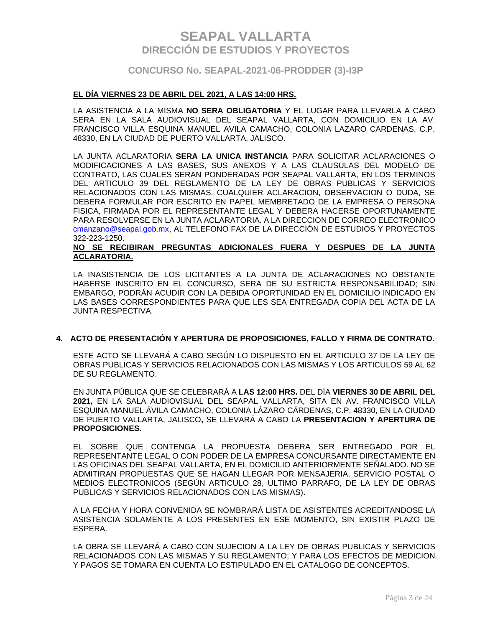### **CONCURSO No. SEAPAL-2021-06-PRODDER (3)-I3P**

#### **EL DÍA VIERNES 23 DE ABRIL DEL 2021, A LAS 14:00 HRS.**

LA ASISTENCIA A LA MISMA **NO SERA OBLIGATORIA** Y EL LUGAR PARA LLEVARLA A CABO SERA EN LA SALA AUDIOVISUAL DEL SEAPAL VALLARTA, CON DOMICILIO EN LA AV. FRANCISCO VILLA ESQUINA MANUEL AVILA CAMACHO, COLONIA LAZARO CARDENAS, C.P. 48330, EN LA CIUDAD DE PUERTO VALLARTA, JALISCO.

LA JUNTA ACLARATORIA **SERA LA UNICA INSTANCIA** PARA SOLICITAR ACLARACIONES O MODIFICACIONES A LAS BASES, SUS ANEXOS Y A LAS CLAUSULAS DEL MODELO DE CONTRATO, LAS CUALES SERAN PONDERADAS POR SEAPAL VALLARTA, EN LOS TERMINOS DEL ARTICULO 39 DEL REGLAMENTO DE LA LEY DE OBRAS PUBLICAS Y SERVICIOS RELACIONADOS CON LAS MISMAS. CUALQUIER ACLARACION, OBSERVACION O DUDA, SE DEBERA FORMULAR POR ESCRITO EN PAPEL MEMBRETADO DE LA EMPRESA O PERSONA FISICA, FIRMADA POR EL REPRESENTANTE LEGAL Y DEBERA HACERSE OPORTUNAMENTE PARA RESOLVERSE EN LA JUNTA ACLARATORIA. A LA DIRECCION DE CORREO ELECTRONICO [cmanzano@seapal.gob.mx,](mailto:cmanzano@seapal.gob.mx) AL TELEFONO FAX DE LA DIRECCIÓN DE ESTUDIOS Y PROYECTOS 322-223-1250.

#### **NO SE RECIBIRAN PREGUNTAS ADICIONALES FUERA Y DESPUES DE LA JUNTA ACLARATORIA.**

LA INASISTENCIA DE LOS LICITANTES A LA JUNTA DE ACLARACIONES NO OBSTANTE HABERSE INSCRITO EN EL CONCURSO, SERA DE SU ESTRICTA RESPONSABILIDAD; SIN EMBARGO, PODRÁN ACUDIR CON LA DEBIDA OPORTUNIDAD EN EL DOMICILIO INDICADO EN LAS BASES CORRESPONDIENTES PARA QUE LES SEA ENTREGADA COPIA DEL ACTA DE LA JUNTA RESPECTIVA.

#### **4. ACTO DE PRESENTACIÓN Y APERTURA DE PROPOSICIONES, FALLO Y FIRMA DE CONTRATO.**

ESTE ACTO SE LLEVARÁ A CABO SEGÚN LO DISPUESTO EN EL ARTICULO 37 DE LA LEY DE OBRAS PUBLICAS Y SERVICIOS RELACIONADOS CON LAS MISMAS Y LOS ARTICULOS 59 AL 62 DE SU REGLAMENTO.

EN JUNTA PÚBLICA QUE SE CELEBRARÁ A **LAS 12:00 HRS.** DEL DÍA **VIERNES 30 DE ABRIL DEL 2021,** EN LA SALA AUDIOVISUAL DEL SEAPAL VALLARTA, SITA EN AV. FRANCISCO VILLA ESQUINA MANUEL ÁVILA CAMACHO, COLONIA LÁZARO CÁRDENAS, C.P. 48330, EN LA CIUDAD DE PUERTO VALLARTA, JALISCO**,** SE LLEVARÁ A CABO LA **PRESENTACION Y APERTURA DE PROPOSICIONES.**

EL SOBRE QUE CONTENGA LA PROPUESTA DEBERA SER ENTREGADO POR EL REPRESENTANTE LEGAL O CON PODER DE LA EMPRESA CONCURSANTE DIRECTAMENTE EN LAS OFICINAS DEL SEAPAL VALLARTA, EN EL DOMICILIO ANTERIORMENTE SEÑALADO. NO SE ADMITIRAN PROPUESTAS QUE SE HAGAN LLEGAR POR MENSAJERIA, SERVICIO POSTAL O MEDIOS ELECTRONICOS (SEGÚN ARTICULO 28, ULTIMO PARRAFO, DE LA LEY DE OBRAS PUBLICAS Y SERVICIOS RELACIONADOS CON LAS MISMAS).

A LA FECHA Y HORA CONVENIDA SE NOMBRARÁ LISTA DE ASISTENTES ACREDITANDOSE LA ASISTENCIA SOLAMENTE A LOS PRESENTES EN ESE MOMENTO, SIN EXISTIR PLAZO DE ESPERA.

LA OBRA SE LLEVARÁ A CABO CON SUJECION A LA LEY DE OBRAS PUBLICAS Y SERVICIOS RELACIONADOS CON LAS MISMAS Y SU REGLAMENTO; Y PARA LOS EFECTOS DE MEDICION Y PAGOS SE TOMARA EN CUENTA LO ESTIPULADO EN EL CATALOGO DE CONCEPTOS.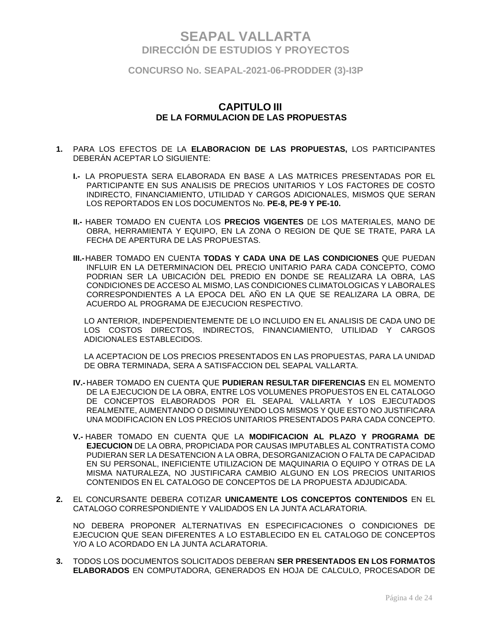**CONCURSO No. SEAPAL-2021-06-PRODDER (3)-I3P**

### **CAPITULO III DE LA FORMULACION DE LAS PROPUESTAS**

- **1.** PARA LOS EFECTOS DE LA **ELABORACION DE LAS PROPUESTAS,** LOS PARTICIPANTES DEBERÁN ACEPTAR LO SIGUIENTE:
	- **I.-** LA PROPUESTA SERA ELABORADA EN BASE A LAS MATRICES PRESENTADAS POR EL PARTICIPANTE EN SUS ANALISIS DE PRECIOS UNITARIOS Y LOS FACTORES DE COSTO INDIRECTO, FINANCIAMIENTO, UTILIDAD Y CARGOS ADICIONALES, MISMOS QUE SERAN LOS REPORTADOS EN LOS DOCUMENTOS No. **PE-8, PE-9 Y PE-10.**
	- **II.-** HABER TOMADO EN CUENTA LOS **PRECIOS VIGENTES** DE LOS MATERIALES, MANO DE OBRA, HERRAMIENTA Y EQUIPO, EN LA ZONA O REGION DE QUE SE TRATE, PARA LA FECHA DE APERTURA DE LAS PROPUESTAS.
	- **III.-**HABER TOMADO EN CUENTA **TODAS Y CADA UNA DE LAS CONDICIONES** QUE PUEDAN INFLUIR EN LA DETERMINACION DEL PRECIO UNITARIO PARA CADA CONCEPTO, COMO PODRIAN SER LA UBICACIÓN DEL PREDIO EN DONDE SE REALIZARA LA OBRA, LAS CONDICIONES DE ACCESO AL MISMO, LAS CONDICIONES CLIMATOLOGICAS Y LABORALES CORRESPONDIENTES A LA EPOCA DEL AÑO EN LA QUE SE REALIZARA LA OBRA, DE ACUERDO AL PROGRAMA DE EJECUCION RESPECTIVO.

LO ANTERIOR, INDEPENDIENTEMENTE DE LO INCLUIDO EN EL ANALISIS DE CADA UNO DE LOS COSTOS DIRECTOS, INDIRECTOS, FINANCIAMIENTO, UTILIDAD Y CARGOS ADICIONALES ESTABLECIDOS.

LA ACEPTACION DE LOS PRECIOS PRESENTADOS EN LAS PROPUESTAS, PARA LA UNIDAD DE OBRA TERMINADA, SERA A SATISFACCION DEL SEAPAL VALLARTA.

- **IV.-** HABER TOMADO EN CUENTA QUE **PUDIERAN RESULTAR DIFERENCIAS** EN EL MOMENTO DE LA EJECUCION DE LA OBRA, ENTRE LOS VOLUMENES PROPUESTOS EN EL CATALOGO DE CONCEPTOS ELABORADOS POR EL SEAPAL VALLARTA Y LOS EJECUTADOS REALMENTE, AUMENTANDO O DISMINUYENDO LOS MISMOS Y QUE ESTO NO JUSTIFICARA UNA MODIFICACION EN LOS PRECIOS UNITARIOS PRESENTADOS PARA CADA CONCEPTO.
- **V.-** HABER TOMADO EN CUENTA QUE LA **MODIFICACION AL PLAZO Y PROGRAMA DE EJECUCION** DE LA OBRA, PROPICIADA POR CAUSAS IMPUTABLES AL CONTRATISTA COMO PUDIERAN SER LA DESATENCION A LA OBRA, DESORGANIZACION O FALTA DE CAPACIDAD EN SU PERSONAL, INEFICIENTE UTILIZACION DE MAQUINARIA O EQUIPO Y OTRAS DE LA MISMA NATURALEZA, NO JUSTIFICARA CAMBIO ALGUNO EN LOS PRECIOS UNITARIOS CONTENIDOS EN EL CATALOGO DE CONCEPTOS DE LA PROPUESTA ADJUDICADA.
- **2.** EL CONCURSANTE DEBERA COTIZAR **UNICAMENTE LOS CONCEPTOS CONTENIDOS** EN EL CATALOGO CORRESPONDIENTE Y VALIDADOS EN LA JUNTA ACLARATORIA.

NO DEBERA PROPONER ALTERNATIVAS EN ESPECIFICACIONES O CONDICIONES DE EJECUCION QUE SEAN DIFERENTES A LO ESTABLECIDO EN EL CATALOGO DE CONCEPTOS Y/O A LO ACORDADO EN LA JUNTA ACLARATORIA.

**3.** TODOS LOS DOCUMENTOS SOLICITADOS DEBERAN **SER PRESENTADOS EN LOS FORMATOS ELABORADOS** EN COMPUTADORA, GENERADOS EN HOJA DE CALCULO, PROCESADOR DE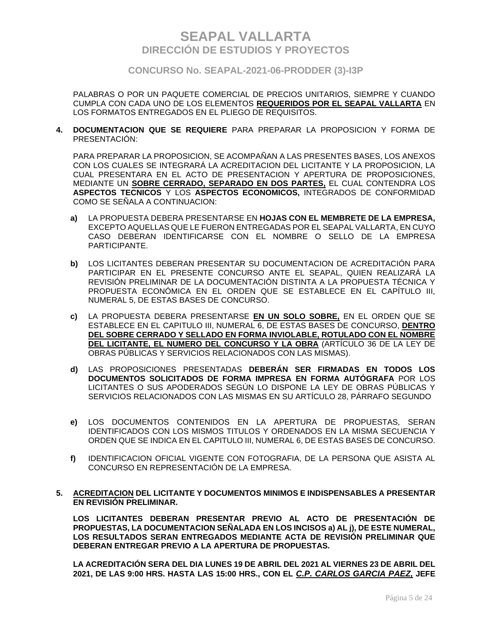**CONCURSO No. SEAPAL-2021-06-PRODDER (3)-I3P**

PALABRAS O POR UN PAQUETE COMERCIAL DE PRECIOS UNITARIOS, SIEMPRE Y CUANDO CUMPLA CON CADA UNO DE LOS ELEMENTOS **REQUERIDOS POR EL SEAPAL VALLARTA** EN LOS FORMATOS ENTREGADOS EN EL PLIEGO DE REQUISITOS.

**4. DOCUMENTACION QUE SE REQUIERE** PARA PREPARAR LA PROPOSICION Y FORMA DE PRESENTACIÓN:

PARA PREPARAR LA PROPOSICION, SE ACOMPAÑAN A LAS PRESENTES BASES, LOS ANEXOS CON LOS CUALES SE INTEGRARÁ LA ACREDITACION DEL LICITANTE Y LA PROPOSICION, LA CUAL PRESENTARA EN EL ACTO DE PRESENTACION Y APERTURA DE PROPOSICIONES, MEDIANTE UN **SOBRE CERRADO, SEPARADO EN DOS PARTES,** EL CUAL CONTENDRA LOS **ASPECTOS TECNICOS** Y LOS **ASPECTOS ECONOMICOS,** INTEGRADOS DE CONFORMIDAD COMO SE SEÑALA A CONTINUACION:

- **a)** LA PROPUESTA DEBERA PRESENTARSE EN **HOJAS CON EL MEMBRETE DE LA EMPRESA,** EXCEPTO AQUELLAS QUE LE FUERON ENTREGADAS POR EL SEAPAL VALLARTA, EN CUYO CASO DEBERAN IDENTIFICARSE CON EL NOMBRE O SELLO DE LA EMPRESA PARTICIPANTE.
- **b)** LOS LICITANTES DEBERAN PRESENTAR SU DOCUMENTACION DE ACREDITACIÓN PARA PARTICIPAR EN EL PRESENTE CONCURSO ANTE EL SEAPAL, QUIEN REALIZARÁ LA REVISIÓN PRELIMINAR DE LA DOCUMENTACIÓN DISTINTA A LA PROPUESTA TÉCNICA Y PROPUESTA ECONÓMICA EN EL ORDEN QUE SE ESTABLECE EN EL CAPÍTULO III, NUMERAL 5, DE ESTAS BASES DE CONCURSO.
- **c)** LA PROPUESTA DEBERA PRESENTARSE **EN UN SOLO SOBRE,** EN EL ORDEN QUE SE ESTABLECE EN EL CAPITULO III, NUMERAL 6, DE ESTAS BASES DE CONCURSO, **DENTRO DEL SOBRE CERRADO Y SELLADO EN FORMA INVIOLABLE, ROTULADO CON EL NOMBRE DEL LICITANTE, EL NUMERO DEL CONCURSO Y LA OBRA** (ARTÍCULO 36 DE LA LEY DE OBRAS PÚBLICAS Y SERVICIOS RELACIONADOS CON LAS MISMAS).
- **d)** LAS PROPOSICIONES PRESENTADAS **DEBERÁN SER FIRMADAS EN TODOS LOS DOCUMENTOS SOLICITADOS DE FORMA IMPRESA EN FORMA AUTÓGRAFA** POR LOS LICITANTES O SUS APODERADOS SEGÚN LO DISPONE LA LEY DE OBRAS PÚBLICAS Y SERVICIOS RELACIONADOS CON LAS MISMAS EN SU ARTÍCULO 28, PÁRRAFO SEGUNDO
- **e)** LOS DOCUMENTOS CONTENIDOS EN LA APERTURA DE PROPUESTAS, SERAN IDENTIFICADOS CON LOS MISMOS TITULOS Y ORDENADOS EN LA MISMA SECUENCIA Y ORDEN QUE SE INDICA EN EL CAPITULO III, NUMERAL 6, DE ESTAS BASES DE CONCURSO.
- **f)** IDENTIFICACION OFICIAL VIGENTE CON FOTOGRAFIA, DE LA PERSONA QUE ASISTA AL CONCURSO EN REPRESENTACIÓN DE LA EMPRESA.

#### **5. ACREDITACION DEL LICITANTE Y DOCUMENTOS MINIMOS E INDISPENSABLES A PRESENTAR EN REVISIÓN PRELIMINAR.**

**LOS LICITANTES DEBERAN PRESENTAR PREVIO AL ACTO DE PRESENTACIÓN DE PROPUESTAS, LA DOCUMENTACION SEÑALADA EN LOS INCISOS a) AL j), DE ESTE NUMERAL, LOS RESULTADOS SERAN ENTREGADOS MEDIANTE ACTA DE REVISIÓN PRELIMINAR QUE DEBERAN ENTREGAR PREVIO A LA APERTURA DE PROPUESTAS.**

**LA ACREDITACIÓN SERA DEL DIA LUNES 19 DE ABRIL DEL 2021 AL VIERNES 23 DE ABRIL DEL 2021, DE LAS 9:00 HRS. HASTA LAS 15:00 HRS., CON EL** *C.P. CARLOS GARCIA PAEZ,* **JEFE**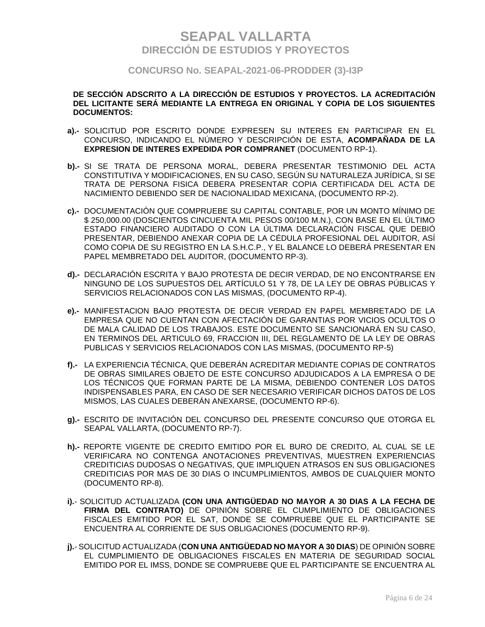### **CONCURSO No. SEAPAL-2021-06-PRODDER (3)-I3P**

#### **DE SECCIÓN ADSCRITO A LA DIRECCIÓN DE ESTUDIOS Y PROYECTOS. LA ACREDITACIÓN DEL LICITANTE SERÁ MEDIANTE LA ENTREGA EN ORIGINAL Y COPIA DE LOS SIGUIENTES DOCUMENTOS:**

- **a).-** SOLICITUD POR ESCRITO DONDE EXPRESEN SU INTERES EN PARTICIPAR EN EL CONCURSO, INDICANDO EL NÚMERO Y DESCRIPCIÓN DE ESTA, **ACOMPAÑADA DE LA EXPRESION DE INTERES EXPEDIDA POR COMPRANET** (DOCUMENTO RP-1).
- **b).-** SI SE TRATA DE PERSONA MORAL, DEBERA PRESENTAR TESTIMONIO DEL ACTA CONSTITUTIVA Y MODIFICACIONES, EN SU CASO, SEGÚN SU NATURALEZA JURÍDICA, SI SE TRATA DE PERSONA FISICA DEBERA PRESENTAR COPIA CERTIFICADA DEL ACTA DE NACIMIENTO DEBIENDO SER DE NACIONALIDAD MEXICANA, (DOCUMENTO RP-2).
- **c).-** DOCUMENTACIÓN QUE COMPRUEBE SU CAPITAL CONTABLE, POR UN MONTO MÍNIMO DE \$ 250,000.00 (DOSCIENTOS CINCUENTA MIL PESOS 00/100 M.N.), CON BASE EN EL ÚLTIMO ESTADO FINANCIERO AUDITADO O CON LA ÚLTIMA DECLARACIÓN FISCAL QUE DEBIÓ PRESENTAR, DEBIENDO ANEXAR COPIA DE LA CÉDULA PROFESIONAL DEL AUDITOR, ASÍ COMO COPIA DE SU REGISTRO EN LA S.H.C.P., Y EL BALANCE LO DEBERÁ PRESENTAR EN PAPEL MEMBRETADO DEL AUDITOR, (DOCUMENTO RP-3).
- **d).-** DECLARACIÓN ESCRITA Y BAJO PROTESTA DE DECIR VERDAD, DE NO ENCONTRARSE EN NINGUNO DE LOS SUPUESTOS DEL ARTÍCULO 51 Y 78, DE LA LEY DE OBRAS PÚBLICAS Y SERVICIOS RELACIONADOS CON LAS MISMAS, (DOCUMENTO RP-4).
- **e).-** MANIFESTACION BAJO PROTESTA DE DECIR VERDAD EN PAPEL MEMBRETADO DE LA EMPRESA QUE NO CUENTAN CON AFECTACIÓN DE GARANTIAS POR VICIOS OCULTOS O DE MALA CALIDAD DE LOS TRABAJOS. ESTE DOCUMENTO SE SANCIONARÁ EN SU CASO, EN TERMINOS DEL ARTICULO 69, FRACCION III, DEL REGLAMENTO DE LA LEY DE OBRAS PUBLICAS Y SERVICIOS RELACIONADOS CON LAS MISMAS, (DOCUMENTO RP-5)
- **f).-** LA EXPERIENCIA TÉCNICA, QUE DEBERÁN ACREDITAR MEDIANTE COPIAS DE CONTRATOS DE OBRAS SIMILARES OBJETO DE ESTE CONCURSO ADJUDICADOS A LA EMPRESA O DE LOS TÉCNICOS QUE FORMAN PARTE DE LA MISMA, DEBIENDO CONTENER LOS DATOS INDISPENSABLES PARA, EN CASO DE SER NECESARIO VERIFICAR DICHOS DATOS DE LOS MISMOS, LAS CUALES DEBERÁN ANEXARSE, (DOCUMENTO RP-6).
- **g).-** ESCRITO DE INVITACIÓN DEL CONCURSO DEL PRESENTE CONCURSO QUE OTORGA EL SEAPAL VALLARTA, (DOCUMENTO RP-7).
- **h).-** REPORTE VIGENTE DE CREDITO EMITIDO POR EL BURO DE CREDITO, AL CUAL SE LE VERIFICARA NO CONTENGA ANOTACIONES PREVENTIVAS, MUESTREN EXPERIENCIAS CREDITICIAS DUDOSAS O NEGATIVAS, QUE IMPLIQUEN ATRASOS EN SUS OBLIGACIONES CREDITICIAS POR MAS DE 30 DIAS O INCUMPLIMIENTOS, AMBOS DE CUALQUIER MONTO (DOCUMENTO RP-8).
- **i).** SOLICITUD ACTUALIZADA **(CON UNA ANTIGÜEDAD NO MAYOR A 30 DIAS A LA FECHA DE FIRMA DEL CONTRATO)** DE OPINIÓN SOBRE EL CUMPLIMIENTO DE OBLIGACIONES FISCALES EMITIDO POR EL SAT, DONDE SE COMPRUEBE QUE EL PARTICIPANTE SE ENCUENTRA AL CORRIENTE DE SUS OBLIGACIONES (DOCUMENTO RP-9).
- **j).** SOLICITUD ACTUALIZADA (**CON UNA ANTIGÜEDAD NO MAYOR A 30 DIAS**) DE OPINIÓN SOBRE EL CUMPLIMIENTO DE OBLIGACIONES FISCALES EN MATERIA DE SEGURIDAD SOCIAL EMITIDO POR EL IMSS, DONDE SE COMPRUEBE QUE EL PARTICIPANTE SE ENCUENTRA AL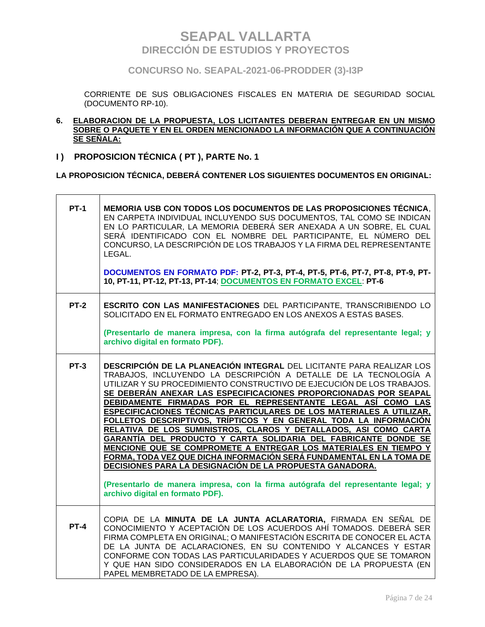**CONCURSO No. SEAPAL-2021-06-PRODDER (3)-I3P**

CORRIENTE DE SUS OBLIGACIONES FISCALES EN MATERIA DE SEGURIDAD SOCIAL (DOCUMENTO RP-10).

- **6. ELABORACION DE LA PROPUESTA, LOS LICITANTES DEBERAN ENTREGAR EN UN MISMO SOBRE O PAQUETE Y EN EL ORDEN MENCIONADO LA INFORMACIÓN QUE A CONTINUACIÓN SE SEÑALA:**
- **I ) PROPOSICION TÉCNICA ( PT ), PARTE No. 1**

 $\overline{\phantom{a}}$ 

**LA PROPOSICION TÉCNICA, DEBERÁ CONTENER LOS SIGUIENTES DOCUMENTOS EN ORIGINAL:**

| <b>PT-1</b> | MEMORIA USB CON TODOS LOS DOCUMENTOS DE LAS PROPOSICIONES TÉCNICA,<br>EN CARPETA INDIVIDUAL INCLUYENDO SUS DOCUMENTOS, TAL COMO SE INDICAN<br>EN LO PARTICULAR, LA MEMORIA DEBERÁ SER ANEXADA A UN SOBRE, EL CUAL<br>SERÁ IDENTIFICADO CON EL NOMBRE DEL PARTICIPANTE, EL NÚMERO DEL<br>CONCURSO, LA DESCRIPCIÓN DE LOS TRABAJOS Y LA FIRMA DEL REPRESENTANTE<br>LEGAL.<br>DOCUMENTOS EN FORMATO PDF: PT-2, PT-3, PT-4, PT-5, PT-6, PT-7, PT-8, PT-9, PT-<br>10, PT-11, PT-12, PT-13, PT-14; DOCUMENTOS EN FORMATO EXCEL: PT-6                                                                                                                                                                                                                                                                                                                                                                                                                                                      |
|-------------|-------------------------------------------------------------------------------------------------------------------------------------------------------------------------------------------------------------------------------------------------------------------------------------------------------------------------------------------------------------------------------------------------------------------------------------------------------------------------------------------------------------------------------------------------------------------------------------------------------------------------------------------------------------------------------------------------------------------------------------------------------------------------------------------------------------------------------------------------------------------------------------------------------------------------------------------------------------------------------------|
| $PT-2$      | <b>ESCRITO CON LAS MANIFESTACIONES DEL PARTICIPANTE, TRANSCRIBIENDO LO</b><br>SOLICITADO EN EL FORMATO ENTREGADO EN LOS ANEXOS A ESTAS BASES.<br>(Presentarlo de manera impresa, con la firma autógrafa del representante legal; y<br>archivo digital en formato PDF).                                                                                                                                                                                                                                                                                                                                                                                                                                                                                                                                                                                                                                                                                                              |
| <b>PT-3</b> | DESCRIPCIÓN DE LA PLANEACIÓN INTEGRAL DEL LICITANTE PARA REALIZAR LOS<br>TRABAJOS, INCLUYENDO LA DESCRIPCIÓN A DETALLE DE LA TECNOLOGÍA A<br>UTILIZAR Y SU PROCEDIMIENTO CONSTRUCTIVO DE EJECUCIÓN DE LOS TRABAJOS.<br>SE DEBERÁN ANEXAR LAS ESPECIFICACIONES PROPORCIONADAS POR SEAPAL<br>DEBIDAMENTE FIRMADAS POR EL REPRESENTANTE LEGAL ASÍ COMO LAS<br><b>ESPECIFICACIONES TÉCNICAS PARTICULARES DE LOS MATERIALES A UTILIZAR,</b><br>FOLLETOS DESCRIPTIVOS, TRÍPTICOS Y EN GENERAL TODA LA INFORMACIÓN<br>RELATIVA DE LOS SUMINISTROS, CLAROS Y DETALLADOS, ASI COMO CARTA<br>GARANTÍA DEL PRODUCTO Y CARTA SOLIDARIA DEL FABRICANTE DONDE SE<br>MENCIONE QUE SE COMPROMETE A ENTREGAR LOS MATERIALES EN TIEMPO Y<br>FORMA, TODA VEZ QUE DICHA INFORMACIÓN SERÁ FUNDAMENTAL EN LA TOMA DE<br>DECISIONES PARA LA DESIGNACIÓN DE LA PROPUESTA GANADORA.<br>(Presentarlo de manera impresa, con la firma autógrafa del representante legal; y<br>archivo digital en formato PDF). |
| <b>PT-4</b> | COPIA DE LA MINUTA DE LA JUNTA ACLARATORIA, FIRMADA EN SEÑAL DE<br>CONOCIMIENTO Y ACEPTACIÓN DE LOS ACUERDOS AHÍ TOMADOS. DEBERÁ SER<br>FIRMA COMPLETA EN ORIGINAL; O MANIFESTACIÓN ESCRITA DE CONOCER EL ACTA<br>DE LA JUNTA DE ACLARACIONES, EN SU CONTENIDO Y ALCANCES Y ESTAR<br>CONFORME CON TODAS LAS PARTICULARIDADES Y ACUERDOS QUE SE TOMARON<br>Y QUE HAN SIDO CONSIDERADOS EN LA ELABORACIÓN DE LA PROPUESTA (EN<br>PAPEL MEMBRETADO DE LA EMPRESA).                                                                                                                                                                                                                                                                                                                                                                                                                                                                                                                     |

 $\overline{\phantom{0}}$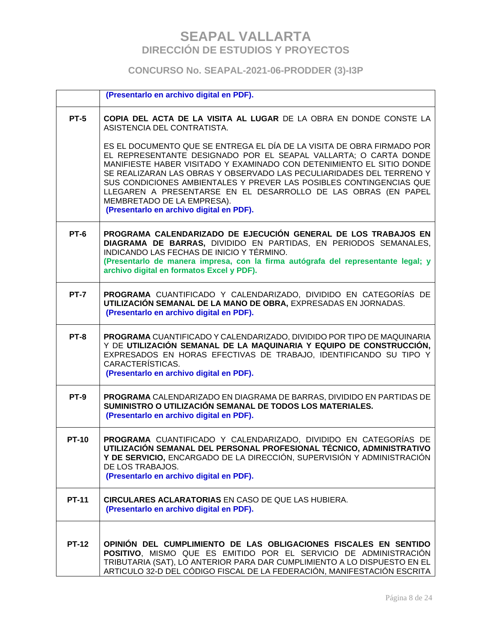### **CONCURSO No. SEAPAL-2021-06-PRODDER (3)-I3P**

|              | (Presentarlo en archivo digital en PDF).                                                                                                                                                                                                                                                                                                                                                                                                                                                                       |
|--------------|----------------------------------------------------------------------------------------------------------------------------------------------------------------------------------------------------------------------------------------------------------------------------------------------------------------------------------------------------------------------------------------------------------------------------------------------------------------------------------------------------------------|
| <b>PT-5</b>  | COPIA DEL ACTA DE LA VISITA AL LUGAR DE LA OBRA EN DONDE CONSTE LA<br>ASISTENCIA DEL CONTRATISTA.                                                                                                                                                                                                                                                                                                                                                                                                              |
|              | ES EL DOCUMENTO QUE SE ENTREGA EL DÍA DE LA VISITA DE OBRA FIRMADO POR<br>EL REPRESENTANTE DESIGNADO POR EL SEAPAL VALLARTA; O CARTA DONDE<br>MANIFIESTE HABER VISITADO Y EXAMINADO CON DETENIMIENTO EL SITIO DONDE<br>SE REALIZARAN LAS OBRAS Y OBSERVADO LAS PECULIARIDADES DEL TERRENO Y<br>SUS CONDICIONES AMBIENTALES Y PREVER LAS POSIBLES CONTINGENCIAS QUE<br>LLEGAREN A PRESENTARSE EN EL DESARROLLO DE LAS OBRAS (EN PAPEL<br>MEMBRETADO DE LA EMPRESA).<br>(Presentarlo en archivo digital en PDF). |
| <b>PT-6</b>  | PROGRAMA CALENDARIZADO DE EJECUCIÓN GENERAL DE LOS TRABAJOS EN<br>DIAGRAMA DE BARRAS, DIVIDIDO EN PARTIDAS, EN PERIODOS SEMANALES,<br>INDICANDO LAS FECHAS DE INICIO Y TÉRMINO.<br>(Presentarlo de manera impresa, con la firma autógrafa del representante legal; y<br>archivo digital en formatos Excel y PDF).                                                                                                                                                                                              |
| <b>PT-7</b>  | PROGRAMA CUANTIFICADO Y CALENDARIZADO, DIVIDIDO EN CATEGORÍAS DE<br>UTILIZACIÓN SEMANAL DE LA MANO DE OBRA, EXPRESADAS EN JORNADAS.<br>(Presentarlo en archivo digital en PDF).                                                                                                                                                                                                                                                                                                                                |
| <b>PT-8</b>  | PROGRAMA CUANTIFICADO Y CALENDARIZADO, DIVIDIDO POR TIPO DE MAQUINARIA<br>Y DE UTILIZACIÓN SEMANAL DE LA MAQUINARIA Y EQUIPO DE CONSTRUCCIÓN,<br>EXPRESADOS EN HORAS EFECTIVAS DE TRABAJO, IDENTIFICANDO SU TIPO Y<br>CARACTERÍSTICAS.<br>(Presentarlo en archivo digital en PDF).                                                                                                                                                                                                                             |
| <b>PT-9</b>  | PROGRAMA CALENDARIZADO EN DIAGRAMA DE BARRAS, DIVIDIDO EN PARTIDAS DE<br>SUMINISTRO O UTILIZACIÓN SEMANAL DE TODOS LOS MATERIALES.<br>(Presentarlo en archivo digital en PDF).                                                                                                                                                                                                                                                                                                                                 |
| <b>PT-10</b> | PROGRAMA CUANTIFICADO Y CALENDARIZADO, DIVIDIDO EN CATEGORÍAS DE<br>UTILIZACIÓN SEMANAL DEL PERSONAL PROFESIONAL TÉCNICO, ADMINISTRATIVO<br>Y DE SERVICIO, ENCARGADO DE LA DIRECCIÓN, SUPERVISIÓN Y ADMINISTRACIÓN<br>DE LOS TRABAJOS.<br>(Presentarlo en archivo digital en PDF).                                                                                                                                                                                                                             |
| <b>PT-11</b> | <b>CIRCULARES ACLARATORIAS EN CASO DE QUE LAS HUBIERA.</b><br>(Presentarlo en archivo digital en PDF).                                                                                                                                                                                                                                                                                                                                                                                                         |
| <b>PT-12</b> | OPINIÓN DEL CUMPLIMIENTO DE LAS OBLIGACIONES FISCALES EN SENTIDO<br>POSITIVO, MISMO QUE ES EMITIDO POR EL SERVICIO DE ADMINISTRACIÓN<br>TRIBUTARIA (SAT), LO ANTERIOR PARA DAR CUMPLIMIENTO A LO DISPUESTO EN EL<br>ARTICULO 32-D DEL CÓDIGO FISCAL DE LA FEDERACIÓN, MANIFESTACIÓN ESCRITA                                                                                                                                                                                                                    |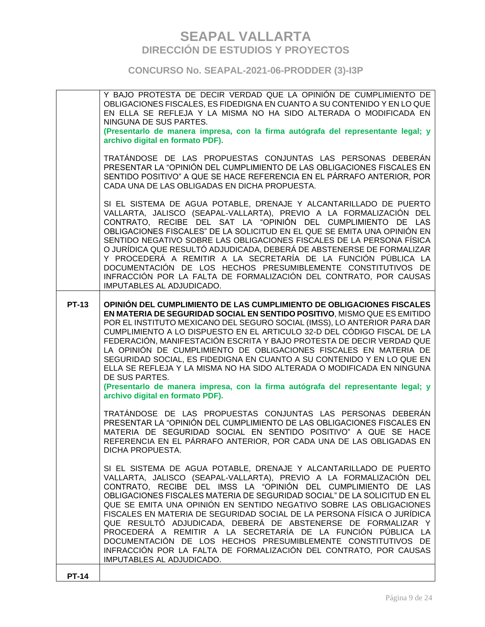### **CONCURSO No. SEAPAL-2021-06-PRODDER (3)-I3P**

|              | Y BAJO PROTESTA DE DECIR VERDAD QUE LA OPINIÓN DE CUMPLIMIENTO DE<br>OBLIGACIONES FISCALES, ES FIDEDIGNA EN CUANTO A SU CONTENIDO Y EN LO QUE<br>EN ELLA SE REFLEJA Y LA MISMA NO HA SIDO ALTERADA O MODIFICADA EN<br>NINGUNA DE SUS PARTES.<br>(Presentarlo de manera impresa, con la firma autógrafa del representante legal; y<br>archivo digital en formato PDF).                                                                                                                                                                                                                                                                                                                                                                                 |
|--------------|-------------------------------------------------------------------------------------------------------------------------------------------------------------------------------------------------------------------------------------------------------------------------------------------------------------------------------------------------------------------------------------------------------------------------------------------------------------------------------------------------------------------------------------------------------------------------------------------------------------------------------------------------------------------------------------------------------------------------------------------------------|
|              | TRATÁNDOSE DE LAS PROPUESTAS CONJUNTAS LAS PERSONAS DEBERÁN<br>PRESENTAR LA "OPINIÓN DEL CUMPLIMIENTO DE LAS OBLIGACIONES FISCALES EN<br>SENTIDO POSITIVO" A QUE SE HACE REFERENCIA EN EL PÁRRAFO ANTERIOR, POR<br>CADA UNA DE LAS OBLIGADAS EN DICHA PROPUESTA.                                                                                                                                                                                                                                                                                                                                                                                                                                                                                      |
|              | SI EL SISTEMA DE AGUA POTABLE, DRENAJE Y ALCANTARILLADO DE PUERTO<br>VALLARTA, JALISCO (SEAPAL-VALLARTA), PREVIO A LA FORMALIZACIÓN DEL<br>CONTRATO, RECIBE DEL SAT LA "OPINIÓN DEL CUMPLIMIENTO DE LAS<br>OBLIGACIONES FISCALES" DE LA SOLICITUD EN EL QUE SE EMITA UNA OPINIÓN EN<br>SENTIDO NEGATIVO SOBRE LAS OBLIGACIONES FISCALES DE LA PERSONA FÍSICA<br>O JURÍDICA QUE RESULTÓ ADJUDICADA, DEBERÁ DE ABSTENERSE DE FORMALIZAR<br>Y PROCEDERÁ A REMITIR A LA SECRETARÍA DE LA FUNCIÓN PÚBLICA LA<br>DOCUMENTACIÓN DE LOS HECHOS PRESUMIBLEMENTE CONSTITUTIVOS DE<br>INFRACCIÓN POR LA FALTA DE FORMALIZACIÓN DEL CONTRATO, POR CAUSAS<br>IMPUTABLES AL ADJUDICADO.                                                                             |
| <b>PT-13</b> | OPINIÓN DEL CUMPLIMIENTO DE LAS CUMPLIMIENTO DE OBLIGACIONES FISCALES<br>EN MATERIA DE SEGURIDAD SOCIAL EN SENTIDO POSITIVO, MISMO QUE ES EMITIDO<br>POR EL INSTITUTO MEXICANO DEL SEGURO SOCIAL (IMSS), LO ANTERIOR PARA DAR<br>CUMPLIMIENTO A LO DISPUESTO EN EL ARTICULO 32-D DEL CÓDIGO FISCAL DE LA<br>FEDERACIÓN, MANIFESTACIÓN ESCRITA Y BAJO PROTESTA DE DECIR VERDAD QUE<br>LA OPINIÓN DE CUMPLIMIENTO DE OBLIGACIONES FISCALES EN MATERIA DE<br>SEGURIDAD SOCIAL, ES FIDEDIGNA EN CUANTO A SU CONTENIDO Y EN LO QUE EN<br>ELLA SE REFLEJA Y LA MISMA NO HA SIDO ALTERADA O MODIFICADA EN NINGUNA<br>DE SUS PARTES.<br>(Presentarlo de manera impresa, con la firma autógrafa del representante legal; y<br>archivo digital en formato PDF). |
|              | TRATÁNDOSE DE LAS PROPUESTAS CONJUNTAS LAS PERSONAS DEBERÁN<br>PRESENTAR LA "OPINIÓN DEL CUMPLIMIENTO DE LAS OBLIGACIONES FISCALES EN<br>MATERIA DE SEGURIDAD SOCIAL EN SENTIDO POSITIVO" A QUE SE HACE<br>REFERENCIA EN EL PÁRRAFO ANTERIOR, POR CADA UNA DE LAS OBLIGADAS EN<br>DICHA PROPUESTA.                                                                                                                                                                                                                                                                                                                                                                                                                                                    |
|              | SI EL SISTEMA DE AGUA POTABLE, DRENAJE Y ALCANTARILLADO DE PUERTO<br>VALLARTA, JALISCO (SEAPAL-VALLARTA), PREVIO A LA FORMALIZACIÓN DEL<br>CONTRATO, RECIBE DEL IMSS LA "OPINIÓN DEL CUMPLIMIENTO DE LAS<br>OBLIGACIONES FISCALES MATERIA DE SEGURIDAD SOCIAL" DE LA SOLICITUD EN EL<br>QUE SE EMITA UNA OPINIÓN EN SENTIDO NEGATIVO SOBRE LAS OBLIGACIONES<br>FISCALES EN MATERIA DE SEGURIDAD SOCIAL DE LA PERSONA FÍSICA O JURÍDICA<br>QUE RESULTÓ ADJUDICADA, DEBERÁ DE ABSTENERSE DE FORMALIZAR Y<br>PROCEDERÁ A REMITIR A LA SECRETARÍA DE LA FUNCIÓN PÚBLICA LA<br>DOCUMENTACIÓN DE LOS HECHOS PRESUMIBLEMENTE CONSTITUTIVOS DE<br>INFRACCIÓN POR LA FALTA DE FORMALIZACIÓN DEL CONTRATO, POR CAUSAS<br>IMPUTABLES AL ADJUDICADO.              |
| <b>PT-14</b> |                                                                                                                                                                                                                                                                                                                                                                                                                                                                                                                                                                                                                                                                                                                                                       |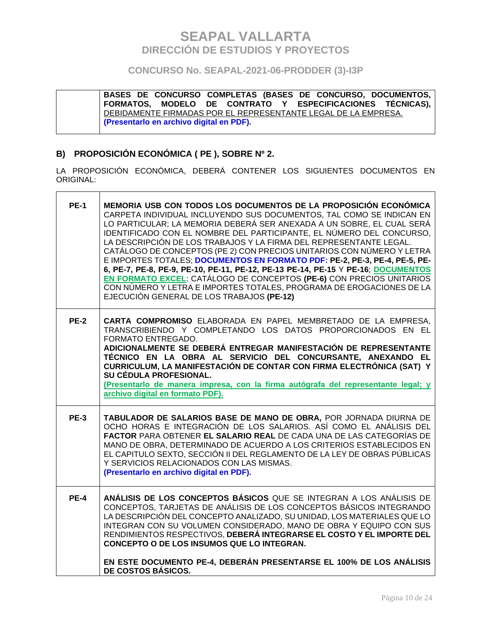### **CONCURSO No. SEAPAL-2021-06-PRODDER (3)-I3P**

**BASES DE CONCURSO COMPLETAS (BASES DE CONCURSO, DOCUMENTOS, FORMATOS, MODELO DE CONTRATO Y ESPECIFICACIONES TÉCNICAS),**  DEBIDAMENTE FIRMADAS POR EL REPRESENTANTE LEGAL DE LA EMPRESA. **(Presentarlo en archivo digital en PDF).**

### **B) PROPOSICIÓN ECONÓMICA ( PE ), SOBRE Nº 2.**

LA PROPOSICIÓN ECONÓMICA, DEBERÁ CONTENER LOS SIGUIENTES DOCUMENTOS EN ORIGINAL:

| <b>PE-1</b> | MEMORIA USB CON TODOS LOS DOCUMENTOS DE LA PROPOSICIÓN ECONÓMICA<br>CARPETA INDIVIDUAL INCLUYENDO SUS DOCUMENTOS, TAL COMO SE INDICAN EN<br>LO PARTICULAR; LA MEMORIA DEBERÁ SER ANEXADA A UN SOBRE, EL CUAL SERÁ<br>IDENTIFICADO CON EL NOMBRE DEL PARTICIPANTE, EL NÚMERO DEL CONCURSO,<br>LA DESCRIPCIÓN DE LOS TRABAJOS Y LA FIRMA DEL REPRESENTANTE LEGAL.<br>CATÁLOGO DE CONCEPTOS (PE 2) CON PRECIOS UNITARIOS CON NÚMERO Y LETRA<br>E IMPORTES TOTALES; DOCUMENTOS EN FORMATO PDF: PE-2, PE-3, PE-4, PE-5, PE-<br>6, PE-7, PE-8, PE-9, PE-10, PE-11, PE-12, PE-13 PE-14, PE-15 Y PE-16; DOCUMENTOS<br>EN FORMATO EXCEL: CATÁLOGO DE CONCEPTOS (PE-6) CON PRECIOS UNITARIOS<br>CON NÚMERO Y LETRA E IMPORTES TOTALES, PROGRAMA DE EROGACIONES DE LA<br>EJECUCIÓN GENERAL DE LOS TRABAJOS (PE-12) |
|-------------|---------------------------------------------------------------------------------------------------------------------------------------------------------------------------------------------------------------------------------------------------------------------------------------------------------------------------------------------------------------------------------------------------------------------------------------------------------------------------------------------------------------------------------------------------------------------------------------------------------------------------------------------------------------------------------------------------------------------------------------------------------------------------------------------------------|
| <b>PE-2</b> | CARTA COMPROMISO ELABORADA EN PAPEL MEMBRETADO DE LA EMPRESA.<br>TRANSCRIBIENDO Y COMPLETANDO LOS DATOS PROPORCIONADOS EN EL<br>FORMATO ENTREGADO.<br>ADICIONALMENTE SE DEBERÁ ENTREGAR MANIFESTACIÓN DE REPRESENTANTE<br>TÉCNICO EN LA OBRA AL SERVICIO DEL CONCURSANTE, ANEXANDO EL<br>CURRICULUM, LA MANIFESTACIÓN DE CONTAR CON FIRMA ELECTRÓNICA (SAT) Y<br>SU CÉDULA PROFESIONAL.<br>(Presentarlo de manera impresa, con la firma autógrafa del representante legal; y<br>archivo digital en formato PDF).                                                                                                                                                                                                                                                                                        |
| <b>PE-3</b> | TABULADOR DE SALARIOS BASE DE MANO DE OBRA, POR JORNADA DIURNA DE<br>OCHO HORAS E INTEGRACIÓN DE LOS SALARIOS. ASÍ COMO EL ANÁLISIS DEL<br>FACTOR PARA OBTENER EL SALARIO REAL DE CADA UNA DE LAS CATEGORÍAS DE<br>MANO DE OBRA, DETERMINADO DE ACUERDO A LOS CRITERIOS ESTABLECIDOS EN<br>EL CAPITULO SEXTO, SECCIÓN II DEL REGLAMENTO DE LA LEY DE OBRAS PÚBLICAS<br>Y SERVICIOS RELACIONADOS CON LAS MISMAS.<br>(Presentarlo en archivo digital en PDF).                                                                                                                                                                                                                                                                                                                                             |
| <b>PE-4</b> | ANÁLISIS DE LOS CONCEPTOS BÁSICOS QUE SE INTEGRAN A LOS ANÁLISIS DE<br>CONCEPTOS, TARJETAS DE ANÁLISIS DE LOS CONCEPTOS BÁSICOS INTEGRANDO<br>LA DESCRIPCIÓN DEL CONCEPTO ANALIZADO, SU UNIDAD, LOS MATERIALES QUE LO<br>INTEGRAN CON SU VOLUMEN CONSIDERADO, MANO DE OBRA Y EQUIPO CON SUS<br>RENDIMIENTOS RESPECTIVOS, DEBERÁ INTEGRARSE EL COSTO Y EL IMPORTE DEL<br>CONCEPTO O DE LOS INSUMOS QUE LO INTEGRAN.<br>EN ESTE DOCUMENTO PE-4, DEBERÁN PRESENTARSE EL 100% DE LOS ANÁLISIS<br>DE COSTOS BÁSICOS.                                                                                                                                                                                                                                                                                         |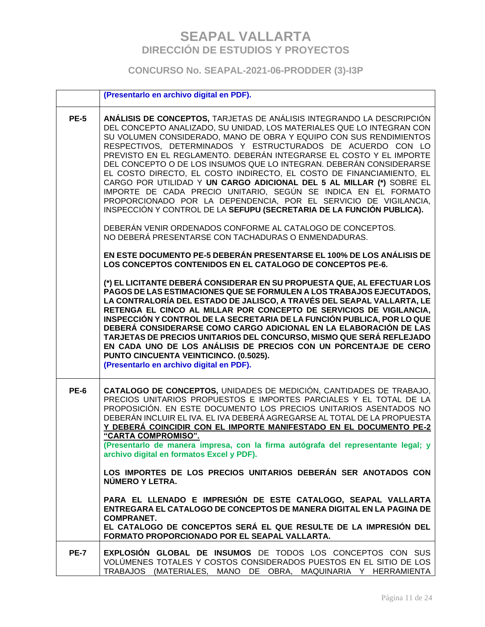### **CONCURSO No. SEAPAL-2021-06-PRODDER (3)-I3P**

|             | (Presentarlo en archivo digital en PDF).                                                                                                                                                                                                                                                                                                                                                                                                                                                                                                                                                                                                                                                                                                                                                                                                                                                                                                                                                                                                                                                                                                                                                                                                                                                                                                                                                                                                                                                                                                                                                                                                                                                                                                            |
|-------------|-----------------------------------------------------------------------------------------------------------------------------------------------------------------------------------------------------------------------------------------------------------------------------------------------------------------------------------------------------------------------------------------------------------------------------------------------------------------------------------------------------------------------------------------------------------------------------------------------------------------------------------------------------------------------------------------------------------------------------------------------------------------------------------------------------------------------------------------------------------------------------------------------------------------------------------------------------------------------------------------------------------------------------------------------------------------------------------------------------------------------------------------------------------------------------------------------------------------------------------------------------------------------------------------------------------------------------------------------------------------------------------------------------------------------------------------------------------------------------------------------------------------------------------------------------------------------------------------------------------------------------------------------------------------------------------------------------------------------------------------------------|
| <b>PE-5</b> | ANÁLISIS DE CONCEPTOS, TARJETAS DE ANÁLISIS INTEGRANDO LA DESCRIPCIÓN<br>DEL CONCEPTO ANALIZADO, SU UNIDAD, LOS MATERIALES QUE LO INTEGRAN CON<br>SU VOLUMEN CONSIDERADO, MANO DE OBRA Y EQUIPO CON SUS RENDIMIENTOS<br>RESPECTIVOS, DETERMINADOS Y ESTRUCTURADOS DE ACUERDO CON LO<br>PREVISTO EN EL REGLAMENTO. DEBERÁN INTEGRARSE EL COSTO Y EL IMPORTE<br>DEL CONCEPTO O DE LOS INSUMOS QUE LO INTEGRAN. DEBERÁN CONSIDERARSE<br>EL COSTO DIRECTO, EL COSTO INDIRECTO, EL COSTO DE FINANCIAMIENTO, EL<br>CARGO POR UTILIDAD Y UN CARGO ADICIONAL DEL 5 AL MILLAR (*) SOBRE EL<br>IMPORTE DE CADA PRECIO UNITARIO, SEGÚN SE INDICA EN EL FORMATO<br>PROPORCIONADO POR LA DEPENDENCIA, POR EL SERVICIO DE VIGILANCIA,<br>INSPECCIÓN Y CONTROL DE LA SEFUPU (SECRETARIA DE LA FUNCIÓN PUBLICA).<br>DEBERÁN VENIR ORDENADOS CONFORME AL CATALOGO DE CONCEPTOS.<br>NO DEBERÁ PRESENTARSE CON TACHADURAS O ENMENDADURAS.<br>EN ESTE DOCUMENTO PE-5 DEBERÁN PRESENTARSE EL 100% DE LOS ANÁLISIS DE<br>LOS CONCEPTOS CONTENIDOS EN EL CATALOGO DE CONCEPTOS PE-6.<br>(*) EL LICITANTE DEBERÁ CONSIDERAR EN SU PROPUESTA QUE, AL EFECTUAR LOS<br>PAGOS DE LAS ESTIMACIONES QUE SE FORMULEN A LOS TRABAJOS EJECUTADOS,<br>LA CONTRALORÍA DEL ESTADO DE JALISCO, A TRAVÉS DEL SEAPAL VALLARTA, LE<br>RETENGA EL CINCO AL MILLAR POR CONCEPTO DE SERVICIOS DE VIGILANCIA,<br>INSPECCIÓN Y CONTROL DE LA SECRETARIA DE LA FUNCIÓN PUBLICA, POR LO QUE<br>DEBERÁ CONSIDERARSE COMO CARGO ADICIONAL EN LA ELABORACIÓN DE LAS<br>TARJETAS DE PRECIOS UNITARIOS DEL CONCURSO, MISMO QUE SERÁ REFLEJADO<br>EN CADA UNO DE LOS ANÁLISIS DE PRECIOS CON UN PORCENTAJE DE CERO<br>PUNTO CINCUENTA VEINTICINCO. (0.5025).<br>(Presentarlo en archivo digital en PDF). |
| <b>PE-6</b> | CATALOGO DE CONCEPTOS, UNIDADES DE MEDICIÓN, CANTIDADES DE TRABAJO,<br>PRECIOS UNITARIOS PROPUESTOS E IMPORTES PARCIALES Y EL TOTAL DE LA<br>PROPOSICIÓN. EN ESTE DOCUMENTO LOS PRECIOS UNITARIOS ASENTADOS NO<br>DEBERÁN INCLUIR EL IVA. EL IVA DEBERÁ AGREGARSE AL TOTAL DE LA PROPUESTA<br>Y DEBERÁ COINCIDIR CON EL IMPORTE MANIFESTADO EN EL DOCUMENTO PE-2<br>"CARTA COMPROMISO".<br>(Presentarlo de manera impresa, con la firma autógrafa del representante legal; y<br>archivo digital en formatos Excel y PDF).<br>LOS IMPORTES DE LOS PRECIOS UNITARIOS DEBERÁN SER ANOTADOS CON<br>NÚMERO Y LETRA.<br>PARA EL LLENADO E IMPRESIÓN DE ESTE CATALOGO, SEAPAL VALLARTA<br>ENTREGARA EL CATALOGO DE CONCEPTOS DE MANERA DIGITAL EN LA PAGINA DE<br><b>COMPRANET.</b><br>EL CATALOGO DE CONCEPTOS SERÁ EL QUE RESULTE DE LA IMPRESIÓN DEL<br>FORMATO PROPORCIONADO POR EL SEAPAL VALLARTA.                                                                                                                                                                                                                                                                                                                                                                                                                                                                                                                                                                                                                                                                                                                                                                                                                                                   |
| <b>PE-7</b> | <b>EXPLOSIÓN GLOBAL DE INSUMOS DE TODOS LOS CONCEPTOS CON SUS</b><br>VOLÚMENES TOTALES Y COSTOS CONSIDERADOS PUESTOS EN EL SITIO DE LOS<br>TRABAJOS (MATERIALES, MANO DE OBRA, MAQUINARIA Y HERRAMIENTA                                                                                                                                                                                                                                                                                                                                                                                                                                                                                                                                                                                                                                                                                                                                                                                                                                                                                                                                                                                                                                                                                                                                                                                                                                                                                                                                                                                                                                                                                                                                             |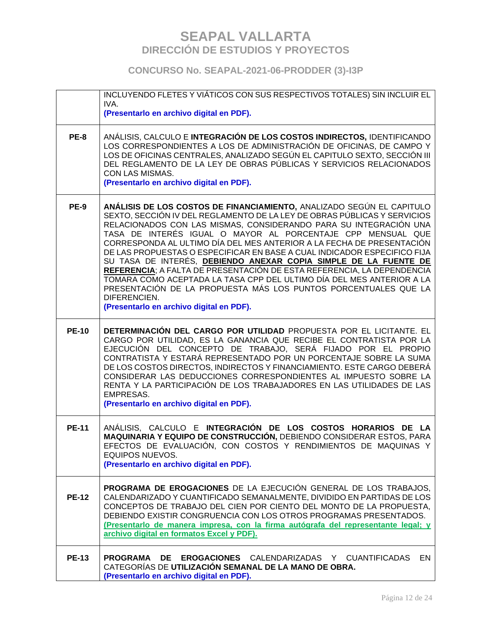**CONCURSO No. SEAPAL-2021-06-PRODDER (3)-I3P**

|              | INCLUYENDO FLETES Y VIÁTICOS CON SUS RESPECTIVOS TOTALES) SIN INCLUIR EL<br>IVA.                                                                                                                                                                                                                                                                                                                                                                                                                                                                                                                                                                                                                                                                                                                 |
|--------------|--------------------------------------------------------------------------------------------------------------------------------------------------------------------------------------------------------------------------------------------------------------------------------------------------------------------------------------------------------------------------------------------------------------------------------------------------------------------------------------------------------------------------------------------------------------------------------------------------------------------------------------------------------------------------------------------------------------------------------------------------------------------------------------------------|
|              | (Presentarlo en archivo digital en PDF).                                                                                                                                                                                                                                                                                                                                                                                                                                                                                                                                                                                                                                                                                                                                                         |
| <b>PE-8</b>  | ANÁLISIS, CALCULO E INTEGRACIÓN DE LOS COSTOS INDIRECTOS, IDENTIFICANDO<br>LOS CORRESPONDIENTES A LOS DE ADMINISTRACIÓN DE OFICINAS, DE CAMPO Y<br>LOS DE OFICINAS CENTRALES, ANALIZADO SEGÚN EL CAPITULO SEXTO, SECCIÓN III<br>DEL REGLAMENTO DE LA LEY DE OBRAS PÚBLICAS Y SERVICIOS RELACIONADOS<br>CON LAS MISMAS.<br>(Presentarlo en archivo digital en PDF).                                                                                                                                                                                                                                                                                                                                                                                                                               |
| <b>PE-9</b>  | ANÁLISIS DE LOS COSTOS DE FINANCIAMIENTO, ANALIZADO SEGÚN EL CAPITULO<br>SEXTO, SECCIÓN IV DEL REGLAMENTO DE LA LEY DE OBRAS PÚBLICAS Y SERVICIOS<br>RELACIONADOS CON LAS MISMAS, CONSIDERANDO PARA SU INTEGRACIÓN UNA<br>TASA DE INTERÉS IGUAL O MAYOR AL PORCENTAJE CPP MENSUAL QUE<br>CORRESPONDA AL ULTIMO DÍA DEL MES ANTERIOR A LA FECHA DE PRESENTACIÓN<br>DE LAS PROPUESTAS O ESPECIFICAR EN BASE A CUAL INDICADOR ESPECIFICO FIJA<br>SU TASA DE INTERÉS, DEBIENDO ANEXAR COPIA SIMPLE DE LA FUENTE DE<br>REFERENCIA; A FALTA DE PRESENTACIÓN DE ESTA REFERENCIA, LA DEPENDENCIA<br>TOMARA COMO ACEPTADA LA TASA CPP DEL ULTIMO DÍA DEL MES ANTERIOR A LA<br>PRESENTACIÓN DE LA PROPUESTA MÁS LOS PUNTOS PORCENTUALES QUE LA<br>DIFERENCIEN.<br>(Presentarlo en archivo digital en PDF). |
| <b>PE-10</b> | DETERMINACIÓN DEL CARGO POR UTILIDAD PROPUESTA POR EL LICITANTE. EL<br>CARGO POR UTILIDAD, ES LA GANANCIA QUE RECIBE EL CONTRATISTA POR LA<br>EJECUCIÓN DEL CONCEPTO DE TRABAJO, SERÁ FIJADO POR EL PROPIO<br>CONTRATISTA Y ESTARÁ REPRESENTADO POR UN PORCENTAJE SOBRE LA SUMA<br>DE LOS COSTOS DIRECTOS, INDIRECTOS Y FINANCIAMIENTO. ESTE CARGO DEBERÁ<br>CONSIDERAR LAS DEDUCCIONES CORRESPONDIENTES AL IMPUESTO SOBRE LA<br>RENTA Y LA PARTICIPACIÓN DE LOS TRABAJADORES EN LAS UTILIDADES DE LAS<br><b>EMPRESAS.</b><br>(Presentarlo en archivo digital en PDF).                                                                                                                                                                                                                           |
| <b>PE-11</b> | ANÁLISIS, CALCULO E INTEGRACIÓN DE LOS COSTOS HORARIOS DE LA<br>MAQUINARIA Y EQUIPO DE CONSTRUCCIÓN, DEBIENDO CONSIDERAR ESTOS, PARA<br>EFECTOS DE EVALUACIÓN, CON COSTOS Y RENDIMIENTOS DE MAQUINAS Y<br><b>EQUIPOS NUEVOS.</b><br>(Presentarlo en archivo digital en PDF).                                                                                                                                                                                                                                                                                                                                                                                                                                                                                                                     |
| <b>PE-12</b> | PROGRAMA DE EROGACIONES DE LA EJECUCIÓN GENERAL DE LOS TRABAJOS,<br>CALENDARIZADO Y CUANTIFICADO SEMANALMENTE, DIVIDIDO EN PARTIDAS DE LOS<br>CONCEPTOS DE TRABAJO DEL CIEN POR CIENTO DEL MONTO DE LA PROPUESTA.<br>DEBIENDO EXISTIR CONGRUENCIA CON LOS OTROS PROGRAMAS PRESENTADOS.<br>(Presentarlo de manera impresa, con la firma autógrafa del representante legal; y<br>archivo digital en formatos Excel y PDF).                                                                                                                                                                                                                                                                                                                                                                         |
| <b>PE-13</b> | <b>PROGRAMA</b><br>DE<br><b>EROGACIONES</b> CALENDARIZADAS Y CUANTIFICADAS<br>EN<br>CATEGORÍAS DE UTILIZACIÓN SEMANAL DE LA MANO DE OBRA.<br>(Presentarlo en archivo digital en PDF).                                                                                                                                                                                                                                                                                                                                                                                                                                                                                                                                                                                                            |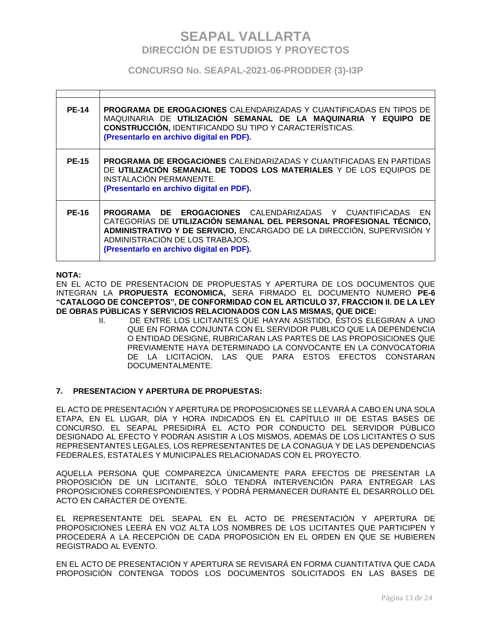### **CONCURSO No. SEAPAL-2021-06-PRODDER (3)-I3P**

| <b>PE-14</b> | <b>PROGRAMA DE EROGACIONES</b> CALENDARIZADAS Y CUANTIFICADAS EN TIPOS DE<br>MAQUINARIA DE UTILIZACIÓN SEMANAL DE LA MAQUINARIA Y EQUIPO DE<br><b>CONSTRUCCIÓN, IDENTIFICANDO SU TIPO Y CARACTERÍSTICAS.</b><br>(Presentarlo en archivo digital en PDF).                                         |
|--------------|--------------------------------------------------------------------------------------------------------------------------------------------------------------------------------------------------------------------------------------------------------------------------------------------------|
| <b>PE-15</b> | <b>PROGRAMA DE EROGACIONES</b> CALENDARIZADAS Y CUANTIFICADAS EN PARTIDAS<br>DE UTILIZACIÓN SEMANAL DE TODOS LOS MATERIALES Y DE LOS EQUIPOS DE<br>INSTALACIÓN PERMANENTE.<br>(Presentarlo en archivo digital en PDF).                                                                           |
| <b>PE-16</b> | <b>PROGRAMA DE EROGACIONES</b> CALENDARIZADAS Y CUANTIFICADAS EN<br>CATEGORÍAS DE UTILIZACIÓN SEMANAL DEL PERSONAL PROFESIONAL TÉCNICO,<br>ADMINISTRATIVO Y DE SERVICIO, ENCARGADO DE LA DIRECCIÓN, SUPERVISIÓN Y<br>ADMINISTRACIÓN DE LOS TRABAJOS.<br>(Presentarlo en archivo digital en PDF). |

### **NOTA:**

EN EL ACTO DE PRESENTACION DE PROPUESTAS Y APERTURA DE LOS DOCUMENTOS QUE INTEGRAN LA **PROPUESTA ECONOMICA,** SERA FIRMADO EL DOCUMENTO NUMERO **PE-6 "CATALOGO DE CONCEPTOS", DE CONFORMIDAD CON EL ARTICULO 37, FRACCION II. DE LA LEY DE OBRAS PÚBLICAS Y SERVICIOS RELACIONADOS CON LAS MISMAS, QUE DICE:**

> II. DE ENTRE LOS LICITANTES QUE HAYAN ASISTIDO, ÉSTOS ELEGIRAN A UNO QUE EN FORMA CONJUNTA CON EL SERVIDOR PUBLICO QUE LA DEPENDENCIA O ENTIDAD DESIGNE, RUBRICARAN LAS PARTES DE LAS PROPOSICIONES QUE PREVIAMENTE HAYA DETERMINADO LA CONVOCANTE EN LA CONVOCATORIA DE LA LICITACION, LAS QUE PARA ESTOS EFECTOS CONSTARAN DOCUMENTALMENTE.

### **7. PRESENTACION Y APERTURA DE PROPUESTAS:**

EL ACTO DE PRESENTACIÓN Y APERTURA DE PROPOSICIONES SE LLEVARÁ A CABO EN UNA SOLA ETAPA, EN EL LUGAR, DÍA Y HORA INDICADOS EN EL CAPÍTULO III DE ESTAS BASES DE CONCURSO. EL SEAPAL PRESIDIRÁ EL ACTO POR CONDUCTO DEL SERVIDOR PÚBLICO DESIGNADO AL EFECTO Y PODRÁN ASISTIR A LOS MISMOS, ADEMÁS DE LOS LICITANTES O SUS REPRESENTANTES LEGALES, LOS REPRESENTANTES DE LA CONAGUA Y DE LAS DEPENDENCIAS FEDERALES, ESTATALES Y MUNICIPALES RELACIONADAS CON EL PROYECTO.

AQUELLA PERSONA QUE COMPAREZCA ÚNICAMENTE PARA EFECTOS DE PRESENTAR LA PROPOSICIÓN DE UN LICITANTE, SÓLO TENDRÁ INTERVENCIÓN PARA ENTREGAR LAS PROPOSICIONES CORRESPONDIENTES, Y PODRÁ PERMANECER DURANTE EL DESARROLLO DEL ACTO EN CARÁCTER DE OYENTE.

EL REPRESENTANTE DEL SEAPAL EN EL ACTO DE PRESENTACIÓN Y APERTURA DE PROPOSICIONES LEERÁ EN VOZ ALTA LOS NOMBRES DE LOS LICITANTES QUE PARTICIPEN Y PROCEDERÁ A LA RECEPCIÓN DE CADA PROPOSICIÓN EN EL ORDEN EN QUE SE HUBIEREN REGISTRADO AL EVENTO.

EN EL ACTO DE PRESENTACIÓN Y APERTURA SE REVISARÁ EN FORMA CUANTITATIVA QUE CADA PROPOSICIÓN CONTENGA TODOS LOS DOCUMENTOS SOLICITADOS EN LAS BASES DE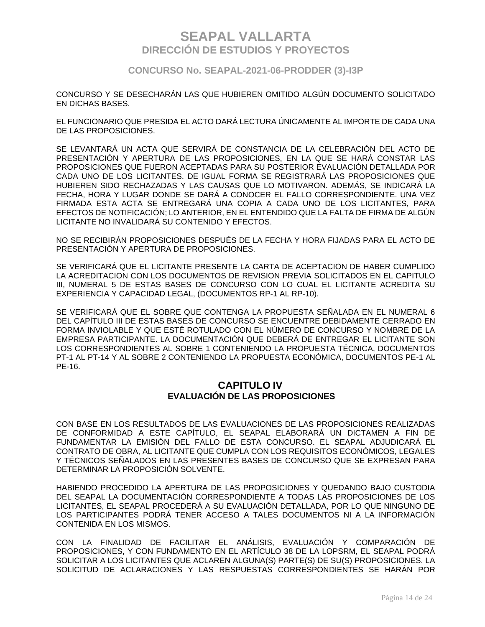**CONCURSO No. SEAPAL-2021-06-PRODDER (3)-I3P**

CONCURSO Y SE DESECHARÁN LAS QUE HUBIEREN OMITIDO ALGÚN DOCUMENTO SOLICITADO EN DICHAS BASES.

EL FUNCIONARIO QUE PRESIDA EL ACTO DARÁ LECTURA ÚNICAMENTE AL IMPORTE DE CADA UNA DE LAS PROPOSICIONES.

SE LEVANTARÁ UN ACTA QUE SERVIRÁ DE CONSTANCIA DE LA CELEBRACIÓN DEL ACTO DE PRESENTACIÓN Y APERTURA DE LAS PROPOSICIONES, EN LA QUE SE HARÁ CONSTAR LAS PROPOSICIONES QUE FUERON ACEPTADAS PARA SU POSTERIOR EVALUACIÓN DETALLADA POR CADA UNO DE LOS LICITANTES. DE IGUAL FORMA SE REGISTRARÁ LAS PROPOSICIONES QUE HUBIEREN SIDO RECHAZADAS Y LAS CAUSAS QUE LO MOTIVARON. ADEMÁS, SE INDICARÁ LA FECHA, HORA Y LUGAR DONDE SE DARÁ A CONOCER EL FALLO CORRESPONDIENTE. UNA VEZ FIRMADA ESTA ACTA SE ENTREGARÁ UNA COPIA A CADA UNO DE LOS LICITANTES, PARA EFECTOS DE NOTIFICACIÓN; LO ANTERIOR, EN EL ENTENDIDO QUE LA FALTA DE FIRMA DE ALGÚN LICITANTE NO INVALIDARÁ SU CONTENIDO Y EFECTOS.

NO SE RECIBIRÁN PROPOSICIONES DESPUÉS DE LA FECHA Y HORA FIJADAS PARA EL ACTO DE PRESENTACIÓN Y APERTURA DE PROPOSICIONES.

SE VERIFICARÁ QUE EL LICITANTE PRESENTE LA CARTA DE ACEPTACION DE HABER CUMPLIDO LA ACREDITACION CON LOS DOCUMENTOS DE REVISION PREVIA SOLICITADOS EN EL CAPITULO III, NUMERAL 5 DE ESTAS BASES DE CONCURSO CON LO CUAL EL LICITANTE ACREDITA SU EXPERIENCIA Y CAPACIDAD LEGAL, (DOCUMENTOS RP-1 AL RP-10).

SE VERIFICARÁ QUE EL SOBRE QUE CONTENGA LA PROPUESTA SEÑALADA EN EL NUMERAL 6 DEL CAPÍTULO III DE ESTAS BASES DE CONCURSO SE ENCUENTRE DEBIDAMENTE CERRADO EN FORMA INVIOLABLE Y QUE ESTÉ ROTULADO CON EL NÚMERO DE CONCURSO Y NOMBRE DE LA EMPRESA PARTICIPANTE. LA DOCUMENTACIÓN QUE DEBERÁ DE ENTREGAR EL LICITANTE SON LOS CORRESPONDIENTES AL SOBRE 1 CONTENIENDO LA PROPUESTA TÉCNICA, DOCUMENTOS PT-1 AL PT-14 Y AL SOBRE 2 CONTENIENDO LA PROPUESTA ECONÓMICA, DOCUMENTOS PE-1 AL PE-16.

### **CAPITULO IV EVALUACIÓN DE LAS PROPOSICIONES**

CON BASE EN LOS RESULTADOS DE LAS EVALUACIONES DE LAS PROPOSICIONES REALIZADAS DE CONFORMIDAD A ESTE CAPÍTULO, EL SEAPAL ELABORARÁ UN DICTAMEN A FIN DE FUNDAMENTAR LA EMISIÓN DEL FALLO DE ESTA CONCURSO. EL SEAPAL ADJUDICARÁ EL CONTRATO DE OBRA, AL LICITANTE QUE CUMPLA CON LOS REQUISITOS ECONÓMICOS, LEGALES Y TÉCNICOS SEÑALADOS EN LAS PRESENTES BASES DE CONCURSO QUE SE EXPRESAN PARA DETERMINAR LA PROPOSICIÓN SOLVENTE.

HABIENDO PROCEDIDO LA APERTURA DE LAS PROPOSICIONES Y QUEDANDO BAJO CUSTODIA DEL SEAPAL LA DOCUMENTACIÓN CORRESPONDIENTE A TODAS LAS PROPOSICIONES DE LOS LICITANTES, EL SEAPAL PROCEDERÁ A SU EVALUACIÓN DETALLADA, POR LO QUE NINGUNO DE LOS PARTICIPANTES PODRÁ TENER ACCESO A TALES DOCUMENTOS NI A LA INFORMACIÓN CONTENIDA EN LOS MISMOS.

CON LA FINALIDAD DE FACILITAR EL ANÁLISIS, EVALUACIÓN Y COMPARACIÓN DE PROPOSICIONES, Y CON FUNDAMENTO EN EL ARTÍCULO 38 DE LA LOPSRM, EL SEAPAL PODRÁ SOLICITAR A LOS LICITANTES QUE ACLAREN ALGUNA(S) PARTE(S) DE SU(S) PROPOSICIONES. LA SOLICITUD DE ACLARACIONES Y LAS RESPUESTAS CORRESPONDIENTES SE HARÁN POR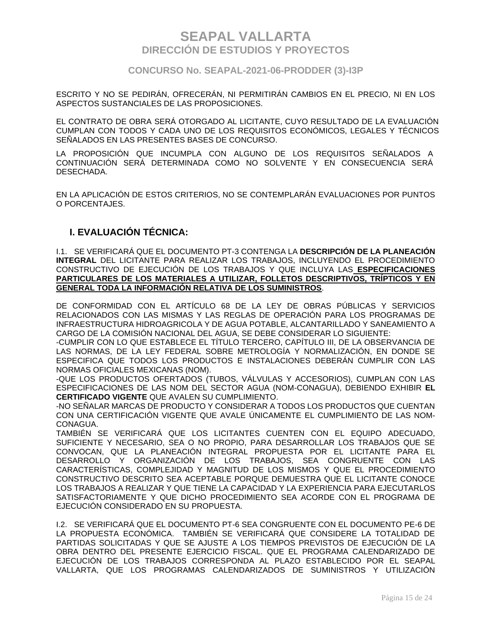### **CONCURSO No. SEAPAL-2021-06-PRODDER (3)-I3P**

ESCRITO Y NO SE PEDIRÁN, OFRECERÁN, NI PERMITIRÁN CAMBIOS EN EL PRECIO, NI EN LOS ASPECTOS SUSTANCIALES DE LAS PROPOSICIONES.

EL CONTRATO DE OBRA SERÁ OTORGADO AL LICITANTE, CUYO RESULTADO DE LA EVALUACIÓN CUMPLAN CON TODOS Y CADA UNO DE LOS REQUISITOS ECONÓMICOS, LEGALES Y TÉCNICOS SEÑALADOS EN LAS PRESENTES BASES DE CONCURSO.

LA PROPOSICIÓN QUE INCUMPLA CON ALGUNO DE LOS REQUISITOS SEÑALADOS A CONTINUACIÓN SERÁ DETERMINADA COMO NO SOLVENTE Y EN CONSECUENCIA SERÁ DESECHADA.

EN LA APLICACIÓN DE ESTOS CRITERIOS, NO SE CONTEMPLARÁN EVALUACIONES POR PUNTOS O PORCENTAJES.

### **I. EVALUACIÓN TÉCNICA:**

I.1. SE VERIFICARÁ QUE EL DOCUMENTO PT-3 CONTENGA LA **DESCRIPCIÓN DE LA PLANEACIÓN INTEGRAL** DEL LICITANTE PARA REALIZAR LOS TRABAJOS, INCLUYENDO EL PROCEDIMIENTO CONSTRUCTIVO DE EJECUCIÓN DE LOS TRABAJOS Y QUE INCLUYA LAS **ESPECIFICACIONES PARTICULARES DE LOS MATERIALES A UTILIZAR, FOLLETOS DESCRIPTIVOS, TRÍPTICOS Y EN GENERAL TODA LA INFORMACIÓN RELATIVA DE LOS SUMINISTROS**.

DE CONFORMIDAD CON EL ARTÍCULO 68 DE LA LEY DE OBRAS PÚBLICAS Y SERVICIOS RELACIONADOS CON LAS MISMAS Y LAS REGLAS DE OPERACIÓN PARA LOS PROGRAMAS DE INFRAESTRUCTURA HIDROAGRICOLA Y DE AGUA POTABLE, ALCANTARILLADO Y SANEAMIENTO A CARGO DE LA COMISIÓN NACIONAL DEL AGUA, SE DEBE CONSIDERAR LO SIGUIENTE:

-CUMPLIR CON LO QUE ESTABLECE EL TÍTULO TERCERO, CAPÍTULO III, DE LA OBSERVANCIA DE LAS NORMAS, DE LA LEY FEDERAL SOBRE METROLOGÍA Y NORMALIZACIÓN, EN DONDE SE ESPECIFICA QUE TODOS LOS PRODUCTOS E INSTALACIONES DEBERÁN CUMPLIR CON LAS NORMAS OFICIALES MEXICANAS (NOM).

-QUE LOS PRODUCTOS OFERTADOS (TUBOS, VÁLVULAS Y ACCESORIOS), CUMPLAN CON LAS ESPECIFICACIONES DE LAS NOM DEL SECTOR AGUA (NOM-CONAGUA), DEBIENDO EXHIBIR **EL CERTIFICADO VIGENTE** QUE AVALEN SU CUMPLIMIENTO.

-NO SEÑALAR MARCAS DE PRODUCTO Y CONSIDERAR A TODOS LOS PRODUCTOS QUE CUENTAN CON UNA CERTIFICACIÓN VIGENTE QUE AVALE ÚNICAMENTE EL CUMPLIMIENTO DE LAS NOM-CONAGUA.

TAMBIÉN SE VERIFICARÁ QUE LOS LICITANTES CUENTEN CON EL EQUIPO ADECUADO, SUFICIENTE Y NECESARIO, SEA O NO PROPIO, PARA DESARROLLAR LOS TRABAJOS QUE SE CONVOCAN, QUE LA PLANEACIÓN INTEGRAL PROPUESTA POR EL LICITANTE PARA EL DESARROLLO Y ORGANIZACIÓN DE LOS TRABAJOS, SEA CONGRUENTE CON LAS CARACTERÍSTICAS, COMPLEJIDAD Y MAGNITUD DE LOS MISMOS Y QUE EL PROCEDIMIENTO CONSTRUCTIVO DESCRITO SEA ACEPTABLE PORQUE DEMUESTRA QUE EL LICITANTE CONOCE LOS TRABAJOS A REALIZAR Y QUE TIENE LA CAPACIDAD Y LA EXPERIENCIA PARA EJECUTARLOS SATISFACTORIAMENTE Y QUE DICHO PROCEDIMIENTO SEA ACORDE CON EL PROGRAMA DE EJECUCIÓN CONSIDERADO EN SU PROPUESTA.

I.2. SE VERIFICARÁ QUE EL DOCUMENTO PT-6 SEA CONGRUENTE CON EL DOCUMENTO PE-6 DE LA PROPUESTA ECONÓMICA. TAMBIÉN SE VERIFICARÁ QUE CONSIDERE LA TOTALIDAD DE PARTIDAS SOLICITADAS Y QUE SE AJUSTE A LOS TIEMPOS PREVISTOS DE EJECUCIÓN DE LA OBRA DENTRO DEL PRESENTE EJERCICIO FISCAL. QUE EL PROGRAMA CALENDARIZADO DE EJECUCIÓN DE LOS TRABAJOS CORRESPONDA AL PLAZO ESTABLECIDO POR EL SEAPAL VALLARTA, QUE LOS PROGRAMAS CALENDARIZADOS DE SUMINISTROS Y UTILIZACIÓN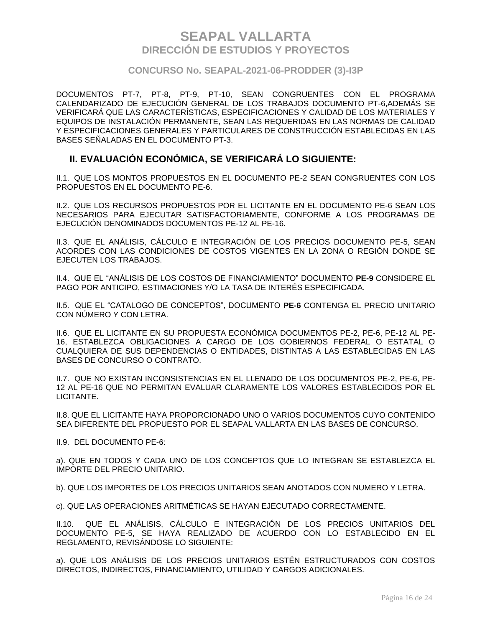### **CONCURSO No. SEAPAL-2021-06-PRODDER (3)-I3P**

DOCUMENTOS PT-7, PT-8, PT-9, PT-10, SEAN CONGRUENTES CON EL PROGRAMA CALENDARIZADO DE EJECUCIÓN GENERAL DE LOS TRABAJOS DOCUMENTO PT-6,ADEMÁS SE VERIFICARÁ QUE LAS CARACTERÍSTICAS, ESPECIFICACIONES Y CALIDAD DE LOS MATERIALES Y EQUIPOS DE INSTALACIÓN PERMANENTE, SEAN LAS REQUERIDAS EN LAS NORMAS DE CALIDAD Y ESPECIFICACIONES GENERALES Y PARTICULARES DE CONSTRUCCIÓN ESTABLECIDAS EN LAS BASES SEÑALADAS EN EL DOCUMENTO PT-3.

### **II. EVALUACIÓN ECONÓMICA, SE VERIFICARÁ LO SIGUIENTE:**

II.1. QUE LOS MONTOS PROPUESTOS EN EL DOCUMENTO PE-2 SEAN CONGRUENTES CON LOS PROPUESTOS EN EL DOCUMENTO PE-6.

II.2. QUE LOS RECURSOS PROPUESTOS POR EL LICITANTE EN EL DOCUMENTO PE-6 SEAN LOS NECESARIOS PARA EJECUTAR SATISFACTORIAMENTE, CONFORME A LOS PROGRAMAS DE EJECUCIÓN DENOMINADOS DOCUMENTOS PE-12 AL PE-16.

II.3. QUE EL ANÁLISIS, CÁLCULO E INTEGRACIÓN DE LOS PRECIOS DOCUMENTO PE-5, SEAN ACORDES CON LAS CONDICIONES DE COSTOS VIGENTES EN LA ZONA O REGIÓN DONDE SE EJECUTEN LOS TRABAJOS.

II.4. QUE EL "ANÁLISIS DE LOS COSTOS DE FINANCIAMIENTO" DOCUMENTO **PE-9** CONSIDERE EL PAGO POR ANTICIPO, ESTIMACIONES Y/O LA TASA DE INTERÉS ESPECIFICADA.

II.5. QUE EL "CATALOGO DE CONCEPTOS", DOCUMENTO **PE-6** CONTENGA EL PRECIO UNITARIO CON NÚMERO Y CON LETRA.

II.6. QUE EL LICITANTE EN SU PROPUESTA ECONÓMICA DOCUMENTOS PE-2, PE-6, PE-12 AL PE-16, ESTABLEZCA OBLIGACIONES A CARGO DE LOS GOBIERNOS FEDERAL O ESTATAL O CUALQUIERA DE SUS DEPENDENCIAS O ENTIDADES, DISTINTAS A LAS ESTABLECIDAS EN LAS BASES DE CONCURSO O CONTRATO.

II.7. QUE NO EXISTAN INCONSISTENCIAS EN EL LLENADO DE LOS DOCUMENTOS PE-2, PE-6, PE-12 AL PE-16 QUE NO PERMITAN EVALUAR CLARAMENTE LOS VALORES ESTABLECIDOS POR EL LICITANTE.

II.8. QUE EL LICITANTE HAYA PROPORCIONADO UNO O VARIOS DOCUMENTOS CUYO CONTENIDO SEA DIFERENTE DEL PROPUESTO POR EL SEAPAL VALLARTA EN LAS BASES DE CONCURSO.

II.9. DEL DOCUMENTO PE-6:

a). QUE EN TODOS Y CADA UNO DE LOS CONCEPTOS QUE LO INTEGRAN SE ESTABLEZCA EL IMPORTE DEL PRECIO UNITARIO.

b). QUE LOS IMPORTES DE LOS PRECIOS UNITARIOS SEAN ANOTADOS CON NUMERO Y LETRA.

c). QUE LAS OPERACIONES ARITMÉTICAS SE HAYAN EJECUTADO CORRECTAMENTE.

II.10. QUE EL ANÁLISIS, CÁLCULO E INTEGRACIÓN DE LOS PRECIOS UNITARIOS DEL DOCUMENTO PE-5, SE HAYA REALIZADO DE ACUERDO CON LO ESTABLECIDO EN EL REGLAMENTO, REVISÁNDOSE LO SIGUIENTE:

a). QUE LOS ANÁLISIS DE LOS PRECIOS UNITARIOS ESTÉN ESTRUCTURADOS CON COSTOS DIRECTOS, INDIRECTOS, FINANCIAMIENTO, UTILIDAD Y CARGOS ADICIONALES.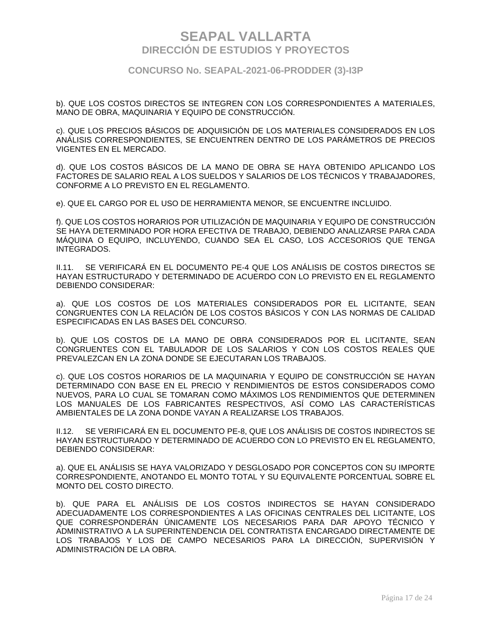#### **CONCURSO No. SEAPAL-2021-06-PRODDER (3)-I3P**

b). QUE LOS COSTOS DIRECTOS SE INTEGREN CON LOS CORRESPONDIENTES A MATERIALES, MANO DE OBRA, MAQUINARIA Y EQUIPO DE CONSTRUCCIÓN.

c). QUE LOS PRECIOS BÁSICOS DE ADQUISICIÓN DE LOS MATERIALES CONSIDERADOS EN LOS ANÁLISIS CORRESPONDIENTES, SE ENCUENTREN DENTRO DE LOS PARÁMETROS DE PRECIOS VIGENTES EN EL MERCADO.

d). QUE LOS COSTOS BÁSICOS DE LA MANO DE OBRA SE HAYA OBTENIDO APLICANDO LOS FACTORES DE SALARIO REAL A LOS SUELDOS Y SALARIOS DE LOS TÉCNICOS Y TRABAJADORES, CONFORME A LO PREVISTO EN EL REGLAMENTO.

e). QUE EL CARGO POR EL USO DE HERRAMIENTA MENOR, SE ENCUENTRE INCLUIDO.

f). QUE LOS COSTOS HORARIOS POR UTILIZACIÓN DE MAQUINARIA Y EQUIPO DE CONSTRUCCIÓN SE HAYA DETERMINADO POR HORA EFECTIVA DE TRABAJO, DEBIENDO ANALIZARSE PARA CADA MÁQUINA O EQUIPO, INCLUYENDO, CUANDO SEA EL CASO, LOS ACCESORIOS QUE TENGA INTEGRADOS.

II.11. SE VERIFICARÁ EN EL DOCUMENTO PE-4 QUE LOS ANÁLISIS DE COSTOS DIRECTOS SE HAYAN ESTRUCTURADO Y DETERMINADO DE ACUERDO CON LO PREVISTO EN EL REGLAMENTO DEBIENDO CONSIDERAR:

a). QUE LOS COSTOS DE LOS MATERIALES CONSIDERADOS POR EL LICITANTE, SEAN CONGRUENTES CON LA RELACIÓN DE LOS COSTOS BÁSICOS Y CON LAS NORMAS DE CALIDAD ESPECIFICADAS EN LAS BASES DEL CONCURSO.

b). QUE LOS COSTOS DE LA MANO DE OBRA CONSIDERADOS POR EL LICITANTE, SEAN CONGRUENTES CON EL TABULADOR DE LOS SALARIOS Y CON LOS COSTOS REALES QUE PREVALEZCAN EN LA ZONA DONDE SE EJECUTARAN LOS TRABAJOS.

c). QUE LOS COSTOS HORARIOS DE LA MAQUINARIA Y EQUIPO DE CONSTRUCCIÓN SE HAYAN DETERMINADO CON BASE EN EL PRECIO Y RENDIMIENTOS DE ESTOS CONSIDERADOS COMO NUEVOS, PARA LO CUAL SE TOMARAN COMO MÁXIMOS LOS RENDIMIENTOS QUE DETERMINEN LOS MANUALES DE LOS FABRICANTES RESPECTIVOS, ASÍ COMO LAS CARACTERÍSTICAS AMBIENTALES DE LA ZONA DONDE VAYAN A REALIZARSE LOS TRABAJOS.

II.12. SE VERIFICARÁ EN EL DOCUMENTO PE-8, QUE LOS ANÁLISIS DE COSTOS INDIRECTOS SE HAYAN ESTRUCTURADO Y DETERMINADO DE ACUERDO CON LO PREVISTO EN EL REGLAMENTO, DEBIENDO CONSIDERAR:

a). QUE EL ANÁLISIS SE HAYA VALORIZADO Y DESGLOSADO POR CONCEPTOS CON SU IMPORTE CORRESPONDIENTE, ANOTANDO EL MONTO TOTAL Y SU EQUIVALENTE PORCENTUAL SOBRE EL MONTO DEL COSTO DIRECTO.

b). QUE PARA EL ANÁLISIS DE LOS COSTOS INDIRECTOS SE HAYAN CONSIDERADO ADECUADAMENTE LOS CORRESPONDIENTES A LAS OFICINAS CENTRALES DEL LICITANTE, LOS QUE CORRESPONDERÁN ÚNICAMENTE LOS NECESARIOS PARA DAR APOYO TÉCNICO Y ADMINISTRATIVO A LA SUPERINTENDENCIA DEL CONTRATISTA ENCARGADO DIRECTAMENTE DE LOS TRABAJOS Y LOS DE CAMPO NECESARIOS PARA LA DIRECCIÓN, SUPERVISIÓN Y ADMINISTRACIÓN DE LA OBRA.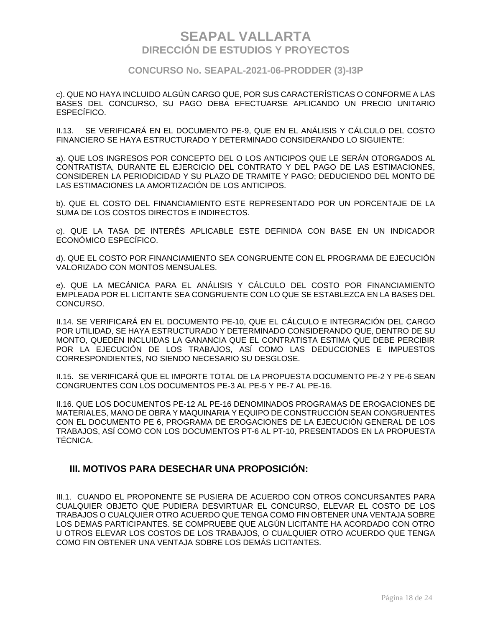### **CONCURSO No. SEAPAL-2021-06-PRODDER (3)-I3P**

c). QUE NO HAYA INCLUIDO ALGÚN CARGO QUE, POR SUS CARACTERÍSTICAS O CONFORME A LAS BASES DEL CONCURSO, SU PAGO DEBA EFECTUARSE APLICANDO UN PRECIO UNITARIO ESPECÍFICO.

II.13. SE VERIFICARÁ EN EL DOCUMENTO PE-9, QUE EN EL ANÁLISIS Y CÁLCULO DEL COSTO FINANCIERO SE HAYA ESTRUCTURADO Y DETERMINADO CONSIDERANDO LO SIGUIENTE:

a). QUE LOS INGRESOS POR CONCEPTO DEL O LOS ANTICIPOS QUE LE SERÁN OTORGADOS AL CONTRATISTA, DURANTE EL EJERCICIO DEL CONTRATO Y DEL PAGO DE LAS ESTIMACIONES, CONSIDEREN LA PERIODICIDAD Y SU PLAZO DE TRAMITE Y PAGO; DEDUCIENDO DEL MONTO DE LAS ESTIMACIONES LA AMORTIZACIÓN DE LOS ANTICIPOS.

b). QUE EL COSTO DEL FINANCIAMIENTO ESTE REPRESENTADO POR UN PORCENTAJE DE LA SUMA DE LOS COSTOS DIRECTOS E INDIRECTOS.

c). QUE LA TASA DE INTERÉS APLICABLE ESTE DEFINIDA CON BASE EN UN INDICADOR ECONÓMICO ESPECÍFICO.

d). QUE EL COSTO POR FINANCIAMIENTO SEA CONGRUENTE CON EL PROGRAMA DE EJECUCIÓN VALORIZADO CON MONTOS MENSUALES.

e). QUE LA MECÁNICA PARA EL ANÁLISIS Y CÁLCULO DEL COSTO POR FINANCIAMIENTO EMPLEADA POR EL LICITANTE SEA CONGRUENTE CON LO QUE SE ESTABLEZCA EN LA BASES DEL CONCURSO.

II.14. SE VERIFICARÁ EN EL DOCUMENTO PE-10, QUE EL CÁLCULO E INTEGRACIÓN DEL CARGO POR UTILIDAD, SE HAYA ESTRUCTURADO Y DETERMINADO CONSIDERANDO QUE, DENTRO DE SU MONTO, QUEDEN INCLUIDAS LA GANANCIA QUE EL CONTRATISTA ESTIMA QUE DEBE PERCIBIR POR LA EJECUCIÓN DE LOS TRABAJOS, ASÍ COMO LAS DEDUCCIONES E IMPUESTOS CORRESPONDIENTES, NO SIENDO NECESARIO SU DESGLOSE.

II.15. SE VERIFICARÁ QUE EL IMPORTE TOTAL DE LA PROPUESTA DOCUMENTO PE-2 Y PE-6 SEAN CONGRUENTES CON LOS DOCUMENTOS PE-3 AL PE-5 Y PE-7 AL PE-16.

II.16. QUE LOS DOCUMENTOS PE-12 AL PE-16 DENOMINADOS PROGRAMAS DE EROGACIONES DE MATERIALES, MANO DE OBRA Y MAQUINARIA Y EQUIPO DE CONSTRUCCIÓN SEAN CONGRUENTES CON EL DOCUMENTO PE 6, PROGRAMA DE EROGACIONES DE LA EJECUCIÓN GENERAL DE LOS TRABAJOS, ASÍ COMO CON LOS DOCUMENTOS PT-6 AL PT-10, PRESENTADOS EN LA PROPUESTA TÉCNICA.

### **III. MOTIVOS PARA DESECHAR UNA PROPOSICIÓN:**

III.1. CUANDO EL PROPONENTE SE PUSIERA DE ACUERDO CON OTROS CONCURSANTES PARA CUALQUIER OBJETO QUE PUDIERA DESVIRTUAR EL CONCURSO, ELEVAR EL COSTO DE LOS TRABAJOS O CUALQUIER OTRO ACUERDO QUE TENGA COMO FIN OBTENER UNA VENTAJA SOBRE LOS DEMAS PARTICIPANTES. SE COMPRUEBE QUE ALGÚN LICITANTE HA ACORDADO CON OTRO U OTROS ELEVAR LOS COSTOS DE LOS TRABAJOS, O CUALQUIER OTRO ACUERDO QUE TENGA COMO FIN OBTENER UNA VENTAJA SOBRE LOS DEMÁS LICITANTES.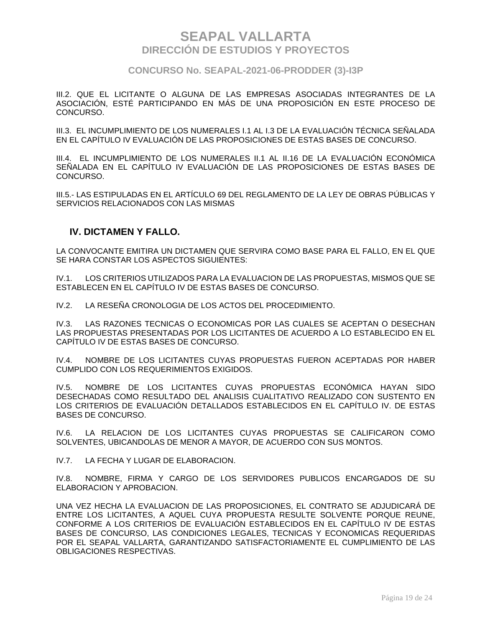### **CONCURSO No. SEAPAL-2021-06-PRODDER (3)-I3P**

III.2. QUE EL LICITANTE O ALGUNA DE LAS EMPRESAS ASOCIADAS INTEGRANTES DE LA ASOCIACIÓN, ESTÉ PARTICIPANDO EN MÁS DE UNA PROPOSICIÓN EN ESTE PROCESO DE CONCURSO.

III.3. EL INCUMPLIMIENTO DE LOS NUMERALES I.1 AL I.3 DE LA EVALUACIÓN TÉCNICA SEÑALADA EN EL CAPÍTULO IV EVALUACIÓN DE LAS PROPOSICIONES DE ESTAS BASES DE CONCURSO.

III.4. EL INCUMPLIMIENTO DE LOS NUMERALES II.1 AL II.16 DE LA EVALUACIÓN ECONÓMICA SEÑALADA EN EL CAPÍTULO IV EVALUACIÓN DE LAS PROPOSICIONES DE ESTAS BASES DE CONCURSO.

III.5.- LAS ESTIPULADAS EN EL ARTÍCULO 69 DEL REGLAMENTO DE LA LEY DE OBRAS PÚBLICAS Y SERVICIOS RELACIONADOS CON LAS MISMAS

### **IV. DICTAMEN Y FALLO.**

LA CONVOCANTE EMITIRA UN DICTAMEN QUE SERVIRA COMO BASE PARA EL FALLO, EN EL QUE SE HARA CONSTAR LOS ASPECTOS SIGUIENTES:

IV.1. LOS CRITERIOS UTILIZADOS PARA LA EVALUACION DE LAS PROPUESTAS, MISMOS QUE SE ESTABLECEN EN EL CAPÍTULO IV DE ESTAS BASES DE CONCURSO.

IV.2. LA RESEÑA CRONOLOGIA DE LOS ACTOS DEL PROCEDIMIENTO.

IV.3. LAS RAZONES TECNICAS O ECONOMICAS POR LAS CUALES SE ACEPTAN O DESECHAN LAS PROPUESTAS PRESENTADAS POR LOS LICITANTES DE ACUERDO A LO ESTABLECIDO EN EL CAPÍTULO IV DE ESTAS BASES DE CONCURSO.

IV.4. NOMBRE DE LOS LICITANTES CUYAS PROPUESTAS FUERON ACEPTADAS POR HABER CUMPLIDO CON LOS REQUERIMIENTOS EXIGIDOS.

IV.5. NOMBRE DE LOS LICITANTES CUYAS PROPUESTAS ECONÓMICA HAYAN SIDO DESECHADAS COMO RESULTADO DEL ANALISIS CUALITATIVO REALIZADO CON SUSTENTO EN LOS CRITERIOS DE EVALUACIÓN DETALLADOS ESTABLECIDOS EN EL CAPÍTULO IV. DE ESTAS BASES DE CONCURSO.

IV.6. LA RELACION DE LOS LICITANTES CUYAS PROPUESTAS SE CALIFICARON COMO SOLVENTES, UBICANDOLAS DE MENOR A MAYOR, DE ACUERDO CON SUS MONTOS.

IV.7. LA FECHA Y LUGAR DE ELABORACION.

IV.8. NOMBRE, FIRMA Y CARGO DE LOS SERVIDORES PUBLICOS ENCARGADOS DE SU ELABORACION Y APROBACION.

UNA VEZ HECHA LA EVALUACION DE LAS PROPOSICIONES, EL CONTRATO SE ADJUDICARÁ DE ENTRE LOS LICITANTES, A AQUEL CUYA PROPUESTA RESULTE SOLVENTE PORQUE REUNE, CONFORME A LOS CRITERIOS DE EVALUACIÓN ESTABLECIDOS EN EL CAPÍTULO IV DE ESTAS BASES DE CONCURSO, LAS CONDICIONES LEGALES, TECNICAS Y ECONOMICAS REQUERIDAS POR EL SEAPAL VALLARTA, GARANTIZANDO SATISFACTORIAMENTE EL CUMPLIMIENTO DE LAS OBLIGACIONES RESPECTIVAS.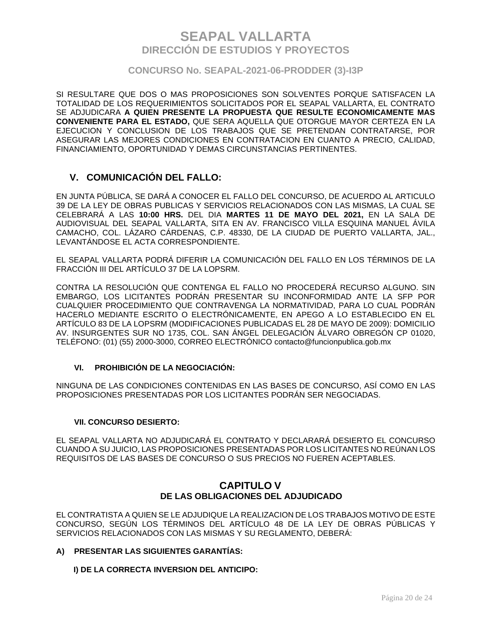### **CONCURSO No. SEAPAL-2021-06-PRODDER (3)-I3P**

SI RESULTARE QUE DOS O MAS PROPOSICIONES SON SOLVENTES PORQUE SATISFACEN LA TOTALIDAD DE LOS REQUERIMIENTOS SOLICITADOS POR EL SEAPAL VALLARTA, EL CONTRATO SE ADJUDICARA **A QUIEN PRESENTE LA PROPUESTA QUE RESULTE ECONOMICAMENTE MAS CONVENIENTE PARA EL ESTADO,** QUE SERA AQUELLA QUE OTORGUE MAYOR CERTEZA EN LA EJECUCION Y CONCLUSION DE LOS TRABAJOS QUE SE PRETENDAN CONTRATARSE, POR ASEGURAR LAS MEJORES CONDICIONES EN CONTRATACION EN CUANTO A PRECIO, CALIDAD, FINANCIAMIENTO, OPORTUNIDAD Y DEMAS CIRCUNSTANCIAS PERTINENTES.

### **V. COMUNICACIÓN DEL FALLO:**

EN JUNTA PÚBLICA, SE DARÁ A CONOCER EL FALLO DEL CONCURSO, DE ACUERDO AL ARTICULO 39 DE LA LEY DE OBRAS PUBLICAS Y SERVICIOS RELACIONADOS CON LAS MISMAS, LA CUAL SE CELEBRARÁ A LAS **10:00 HRS.** DEL DIA **MARTES 11 DE MAYO DEL 2021,** EN LA SALA DE AUDIOVISUAL DEL SEAPAL VALLARTA, SITA EN AV. FRANCISCO VILLA ESQUINA MANUEL ÁVILA CAMACHO, COL. LÁZARO CÁRDENAS, C.P. 48330, DE LA CIUDAD DE PUERTO VALLARTA, JAL., LEVANTÁNDOSE EL ACTA CORRESPONDIENTE.

EL SEAPAL VALLARTA PODRÁ DIFERIR LA COMUNICACIÓN DEL FALLO EN LOS TÉRMINOS DE LA FRACCIÓN III DEL ARTÍCULO 37 DE LA LOPSRM.

CONTRA LA RESOLUCIÓN QUE CONTENGA EL FALLO NO PROCEDERÁ RECURSO ALGUNO. SIN EMBARGO, LOS LICITANTES PODRÁN PRESENTAR SU INCONFORMIDAD ANTE LA SFP POR CUALQUIER PROCEDIMIENTO QUE CONTRAVENGA LA NORMATIVIDAD, PARA LO CUAL PODRÁN HACERLO MEDIANTE ESCRITO O ELECTRÓNICAMENTE, EN APEGO A LO ESTABLECIDO EN EL ARTÍCULO 83 DE LA LOPSRM (MODIFICACIONES PUBLICADAS EL 28 DE MAYO DE 2009): DOMICILIO AV. INSURGENTES SUR NO 1735, COL. SAN ÁNGEL DELEGACIÓN ÁLVARO OBREGÓN CP 01020, TELÉFONO: (01) (55) 2000-3000, CORREO ELECTRÓNICO contacto@funcionpublica.gob.mx

### **VI. PROHIBICIÓN DE LA NEGOCIACIÓN:**

NINGUNA DE LAS CONDICIONES CONTENIDAS EN LAS BASES DE CONCURSO, ASÍ COMO EN LAS PROPOSICIONES PRESENTADAS POR LOS LICITANTES PODRÁN SER NEGOCIADAS.

#### **VII. CONCURSO DESIERTO:**

EL SEAPAL VALLARTA NO ADJUDICARÁ EL CONTRATO Y DECLARARÁ DESIERTO EL CONCURSO CUANDO A SU JUICIO, LAS PROPOSICIONES PRESENTADAS POR LOS LICITANTES NO REÚNAN LOS REQUISITOS DE LAS BASES DE CONCURSO O SUS PRECIOS NO FUEREN ACEPTABLES.

### **CAPITULO V DE LAS OBLIGACIONES DEL ADJUDICADO**

EL CONTRATISTA A QUIEN SE LE ADJUDIQUE LA REALIZACION DE LOS TRABAJOS MOTIVO DE ESTE CONCURSO, SEGÚN LOS TÉRMINOS DEL ARTÍCULO 48 DE LA LEY DE OBRAS PÚBLICAS Y SERVICIOS RELACIONADOS CON LAS MISMAS Y SU REGLAMENTO, DEBERÁ:

#### **A) PRESENTAR LAS SIGUIENTES GARANTÍAS:**

 **I) DE LA CORRECTA INVERSION DEL ANTICIPO:**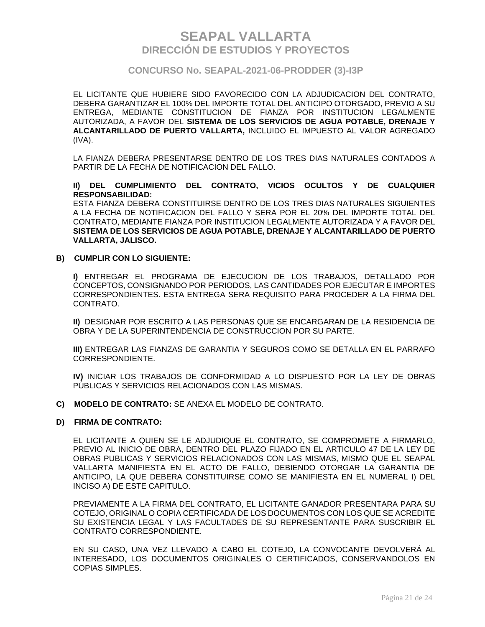### **CONCURSO No. SEAPAL-2021-06-PRODDER (3)-I3P**

EL LICITANTE QUE HUBIERE SIDO FAVORECIDO CON LA ADJUDICACION DEL CONTRATO, DEBERA GARANTIZAR EL 100% DEL IMPORTE TOTAL DEL ANTICIPO OTORGADO, PREVIO A SU ENTREGA, MEDIANTE CONSTITUCION DE FIANZA POR INSTITUCION LEGALMENTE AUTORIZADA, A FAVOR DEL **SISTEMA DE LOS SERVICIOS DE AGUA POTABLE, DRENAJE Y ALCANTARILLADO DE PUERTO VALLARTA,** INCLUIDO EL IMPUESTO AL VALOR AGREGADO (IVA).

LA FIANZA DEBERA PRESENTARSE DENTRO DE LOS TRES DIAS NATURALES CONTADOS A PARTIR DE LA FECHA DE NOTIFICACION DEL FALLO.

#### **II) DEL CUMPLIMIENTO DEL CONTRATO, VICIOS OCULTOS Y DE CUALQUIER RESPONSABILIDAD:**

ESTA FIANZA DEBERA CONSTITUIRSE DENTRO DE LOS TRES DIAS NATURALES SIGUIENTES A LA FECHA DE NOTIFICACION DEL FALLO Y SERA POR EL 20% DEL IMPORTE TOTAL DEL CONTRATO, MEDIANTE FIANZA POR INSTITUCION LEGALMENTE AUTORIZADA Y A FAVOR DEL **SISTEMA DE LOS SERVICIOS DE AGUA POTABLE, DRENAJE Y ALCANTARILLADO DE PUERTO VALLARTA, JALISCO.**

#### **B) CUMPLIR CON LO SIGUIENTE:**

**I)** ENTREGAR EL PROGRAMA DE EJECUCION DE LOS TRABAJOS, DETALLADO POR CONCEPTOS, CONSIGNANDO POR PERIODOS, LAS CANTIDADES POR EJECUTAR E IMPORTES CORRESPONDIENTES. ESTA ENTREGA SERA REQUISITO PARA PROCEDER A LA FIRMA DEL CONTRATO.

**II)** DESIGNAR POR ESCRITO A LAS PERSONAS QUE SE ENCARGARAN DE LA RESIDENCIA DE OBRA Y DE LA SUPERINTENDENCIA DE CONSTRUCCION POR SU PARTE.

**III)** ENTREGAR LAS FIANZAS DE GARANTIA Y SEGUROS COMO SE DETALLA EN EL PARRAFO CORRESPONDIENTE.

**IV)** INICIAR LOS TRABAJOS DE CONFORMIDAD A LO DISPUESTO POR LA LEY DE OBRAS PÚBLICAS Y SERVICIOS RELACIONADOS CON LAS MISMAS.

**C) MODELO DE CONTRATO:** SE ANEXA EL MODELO DE CONTRATO.

#### **D) FIRMA DE CONTRATO:**

EL LICITANTE A QUIEN SE LE ADJUDIQUE EL CONTRATO, SE COMPROMETE A FIRMARLO, PREVIO AL INICIO DE OBRA, DENTRO DEL PLAZO FIJADO EN EL ARTICULO 47 DE LA LEY DE OBRAS PUBLICAS Y SERVICIOS RELACIONADOS CON LAS MISMAS, MISMO QUE EL SEAPAL VALLARTA MANIFIESTA EN EL ACTO DE FALLO, DEBIENDO OTORGAR LA GARANTIA DE ANTICIPO, LA QUE DEBERA CONSTITUIRSE COMO SE MANIFIESTA EN EL NUMERAL I) DEL INCISO A) DE ESTE CAPITULO.

PREVIAMENTE A LA FIRMA DEL CONTRATO, EL LICITANTE GANADOR PRESENTARA PARA SU COTEJO, ORIGINAL O COPIA CERTIFICADA DE LOS DOCUMENTOS CON LOS QUE SE ACREDITE SU EXISTENCIA LEGAL Y LAS FACULTADES DE SU REPRESENTANTE PARA SUSCRIBIR EL CONTRATO CORRESPONDIENTE.

EN SU CASO, UNA VEZ LLEVADO A CABO EL COTEJO, LA CONVOCANTE DEVOLVERÁ AL INTERESADO, LOS DOCUMENTOS ORIGINALES O CERTIFICADOS, CONSERVANDOLOS EN COPIAS SIMPLES.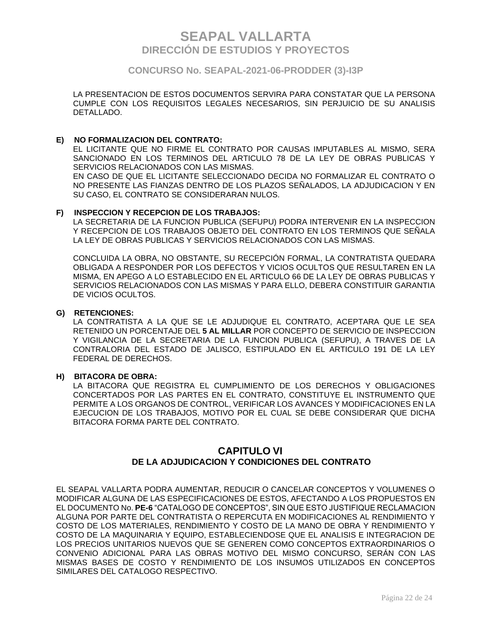### **CONCURSO No. SEAPAL-2021-06-PRODDER (3)-I3P**

LA PRESENTACION DE ESTOS DOCUMENTOS SERVIRA PARA CONSTATAR QUE LA PERSONA CUMPLE CON LOS REQUISITOS LEGALES NECESARIOS, SIN PERJUICIO DE SU ANALISIS DETALLADO.

#### **E) NO FORMALIZACION DEL CONTRATO:**

EL LICITANTE QUE NO FIRME EL CONTRATO POR CAUSAS IMPUTABLES AL MISMO, SERA SANCIONADO EN LOS TERMINOS DEL ARTICULO 78 DE LA LEY DE OBRAS PUBLICAS Y SERVICIOS RELACIONADOS CON LAS MISMAS.

EN CASO DE QUE EL LICITANTE SELECCIONADO DECIDA NO FORMALIZAR EL CONTRATO O NO PRESENTE LAS FIANZAS DENTRO DE LOS PLAZOS SEÑALADOS, LA ADJUDICACION Y EN SU CASO, EL CONTRATO SE CONSIDERARAN NULOS.

#### **F) INSPECCION Y RECEPCION DE LOS TRABAJOS:**

LA SECRETARIA DE LA FUNCION PUBLICA (SEFUPU) PODRA INTERVENIR EN LA INSPECCION Y RECEPCION DE LOS TRABAJOS OBJETO DEL CONTRATO EN LOS TERMINOS QUE SEÑALA LA LEY DE OBRAS PUBLICAS Y SERVICIOS RELACIONADOS CON LAS MISMAS.

CONCLUIDA LA OBRA, NO OBSTANTE, SU RECEPCIÓN FORMAL, LA CONTRATISTA QUEDARA OBLIGADA A RESPONDER POR LOS DEFECTOS Y VICIOS OCULTOS QUE RESULTAREN EN LA MISMA, EN APEGO A LO ESTABLECIDO EN EL ARTICULO 66 DE LA LEY DE OBRAS PUBLICAS Y SERVICIOS RELACIONADOS CON LAS MISMAS Y PARA ELLO, DEBERA CONSTITUIR GARANTIA DE VICIOS OCULTOS.

#### **G) RETENCIONES:**

LA CONTRATISTA A LA QUE SE LE ADJUDIQUE EL CONTRATO, ACEPTARA QUE LE SEA RETENIDO UN PORCENTAJE DEL **5 AL MILLAR** POR CONCEPTO DE SERVICIO DE INSPECCION Y VIGILANCIA DE LA SECRETARIA DE LA FUNCION PUBLICA (SEFUPU), A TRAVES DE LA CONTRALORIA DEL ESTADO DE JALISCO, ESTIPULADO EN EL ARTICULO 191 DE LA LEY FEDERAL DE DERECHOS.

#### **H) BITACORA DE OBRA:**

LA BITACORA QUE REGISTRA EL CUMPLIMIENTO DE LOS DERECHOS Y OBLIGACIONES CONCERTADOS POR LAS PARTES EN EL CONTRATO, CONSTITUYE EL INSTRUMENTO QUE PERMITE A LOS ORGANOS DE CONTROL, VERIFICAR LOS AVANCES Y MODIFICACIONES EN LA EJECUCION DE LOS TRABAJOS, MOTIVO POR EL CUAL SE DEBE CONSIDERAR QUE DICHA BITACORA FORMA PARTE DEL CONTRATO.

### **CAPITULO VI DE LA ADJUDICACION Y CONDICIONES DEL CONTRATO**

EL SEAPAL VALLARTA PODRA AUMENTAR, REDUCIR O CANCELAR CONCEPTOS Y VOLUMENES O MODIFICAR ALGUNA DE LAS ESPECIFICACIONES DE ESTOS, AFECTANDO A LOS PROPUESTOS EN EL DOCUMENTO No. **PE-6** "CATALOGO DE CONCEPTOS", SIN QUE ESTO JUSTIFIQUE RECLAMACION ALGUNA POR PARTE DEL CONTRATISTA O REPERCUTA EN MODIFICACIONES AL RENDIMIENTO Y COSTO DE LOS MATERIALES, RENDIMIENTO Y COSTO DE LA MANO DE OBRA Y RENDIMIENTO Y COSTO DE LA MAQUINARIA Y EQUIPO, ESTABLECIENDOSE QUE EL ANALISIS E INTEGRACION DE LOS PRECIOS UNITARIOS NUEVOS QUE SE GENEREN COMO CONCEPTOS EXTRAORDINARIOS O CONVENIO ADICIONAL PARA LAS OBRAS MOTIVO DEL MISMO CONCURSO, SERÁN CON LAS MISMAS BASES DE COSTO Y RENDIMIENTO DE LOS INSUMOS UTILIZADOS EN CONCEPTOS SIMILARES DEL CATALOGO RESPECTIVO.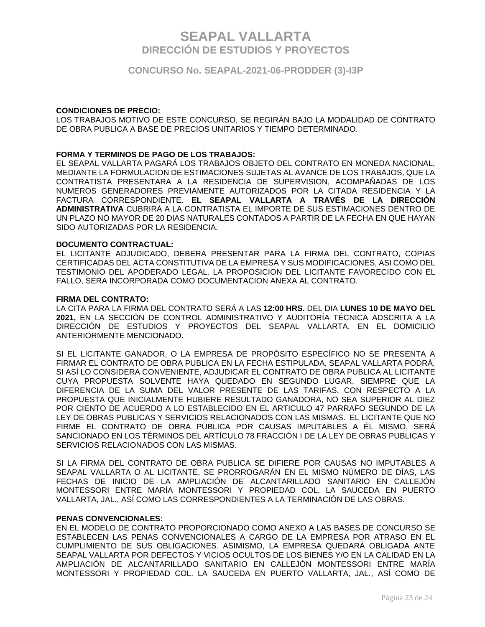**CONCURSO No. SEAPAL-2021-06-PRODDER (3)-I3P**

#### **CONDICIONES DE PRECIO:**

LOS TRABAJOS MOTIVO DE ESTE CONCURSO, SE REGIRÁN BAJO LA MODALIDAD DE CONTRATO DE OBRA PUBLICA A BASE DE PRECIOS UNITARIOS Y TIEMPO DETERMINADO.

#### **FORMA Y TERMINOS DE PAGO DE LOS TRABAJOS:**

EL SEAPAL VALLARTA PAGARÁ LOS TRABAJOS OBJETO DEL CONTRATO EN MONEDA NACIONAL, MEDIANTE LA FORMULACION DE ESTIMACIONES SUJETAS AL AVANCE DE LOS TRABAJOS, QUE LA CONTRATISTA PRESENTARA A LA RESIDENCIA DE SUPERVISION, ACOMPAÑADAS DE LOS NUMEROS GENERADORES PREVIAMENTE AUTORIZADOS POR LA CITADA RESIDENCIA Y LA FACTURA CORRESPONDIENTE. **EL SEAPAL VALLARTA A TRAVÉS DE LA DIRECCIÓN ADMINISTRATIVA** CUBRIRÁ A LA CONTRATISTA EL IMPORTE DE SUS ESTIMACIONES DENTRO DE UN PLAZO NO MAYOR DE 20 DIAS NATURALES CONTADOS A PARTIR DE LA FECHA EN QUE HAYAN SIDO AUTORIZADAS POR LA RESIDENCIA.

#### **DOCUMENTO CONTRACTUAL:**

EL LICITANTE ADJUDICADO, DEBERA PRESENTAR PARA LA FIRMA DEL CONTRATO, COPIAS CERTIFICADAS DEL ACTA CONSTITUTIVA DE LA EMPRESA Y SUS MODIFICACIONES, ASI COMO DEL TESTIMONIO DEL APODERADO LEGAL. LA PROPOSICION DEL LICITANTE FAVORECIDO CON EL FALLO, SERA INCORPORADA COMO DOCUMENTACION ANEXA AL CONTRATO.

#### **FIRMA DEL CONTRATO:**

LA CITA PARA LA FIRMA DEL CONTRATO SERÁ A LAS **12:00 HRS.** DEL DIA **LUNES 10 DE MAYO DEL 2021,** EN LA SECCIÓN DE CONTROL ADMINISTRATIVO Y AUDITORÍA TÉCNICA ADSCRITA A LA DIRECCIÓN DE ESTUDIOS Y PROYECTOS DEL SEAPAL VALLARTA, EN EL DOMICILIO ANTERIORMENTE MENCIONADO.

SI EL LICITANTE GANADOR, O LA EMPRESA DE PROPÓSITO ESPECÍFICO NO SE PRESENTA A FIRMAR EL CONTRATO DE OBRA PUBLICA EN LA FECHA ESTIPULADA, SEAPAL VALLARTA PODRÁ, SI ASÍ LO CONSIDERA CONVENIENTE, ADJUDICAR EL CONTRATO DE OBRA PUBLICA AL LICITANTE CUYA PROPUESTA SOLVENTE HAYA QUEDADO EN SEGUNDO LUGAR, SIEMPRE QUE LA DIFERENCIA DE LA SUMA DEL VALOR PRESENTE DE LAS TARIFAS, CON RESPECTO A LA PROPUESTA QUE INICIALMENTE HUBIERE RESULTADO GANADORA, NO SEA SUPERIOR AL DIEZ POR CIENTO DE ACUERDO A LO ESTABLECIDO EN EL ARTICULO 47 PARRAFO SEGUNDO DE LA LEY DE OBRAS PUBLICAS Y SERVICIOS RELACIONADOS CON LAS MISMAS. EL LICITANTE QUE NO FIRME EL CONTRATO DE OBRA PUBLICA POR CAUSAS IMPUTABLES A ÉL MISMO, SERÁ SANCIONADO EN LOS TÉRMINOS DEL ARTÍCULO 78 FRACCIÓN I DE LA LEY DE OBRAS PUBLICAS Y SERVICIOS RELACIONADOS CON LAS MISMAS.

SI LA FIRMA DEL CONTRATO DE OBRA PUBLICA SE DIFIERE POR CAUSAS NO IMPUTABLES A SEAPAL VALLARTA O AL LICITANTE, SE PRORROGARÁN EN EL MISMO NÚMERO DE DÍAS, LAS FECHAS DE INICIO DE LA AMPLIACIÓN DE ALCANTARILLADO SANITARIO EN CALLEJÓN MONTESSORI ENTRE MARÍA MONTESSORI Y PROPIEDAD COL. LA SAUCEDA EN PUERTO VALLARTA, JAL., ASÍ COMO LAS CORRESPONDIENTES A LA TERMINACIÓN DE LAS OBRAS.

#### **PENAS CONVENCIONALES:**

EN EL MODELO DE CONTRATO PROPORCIONADO COMO ANEXO A LAS BASES DE CONCURSO SE ESTABLECEN LAS PENAS CONVENCIONALES A CARGO DE LA EMPRESA POR ATRASO EN EL CUMPLIMIENTO DE SUS OBLIGACIONES. ASIMISMO, LA EMPRESA QUEDARÁ OBLIGADA ANTE SEAPAL VALLARTA POR DEFECTOS Y VICIOS OCULTOS DE LOS BIENES Y/O EN LA CALIDAD EN LA AMPLIACIÓN DE ALCANTARILLADO SANITARIO EN CALLEJÓN MONTESSORI ENTRE MARÍA MONTESSORI Y PROPIEDAD COL. LA SAUCEDA EN PUERTO VALLARTA, JAL., ASÍ COMO DE